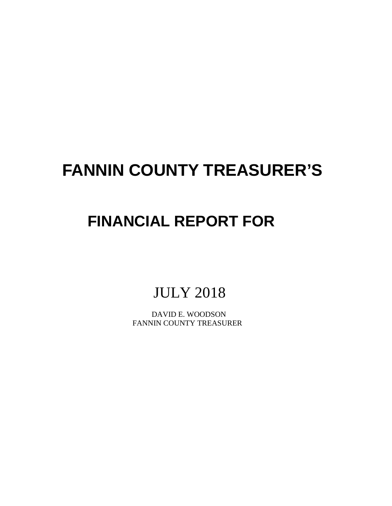# **FANNIN COUNTY TREASURER'S**

# **FINANCIAL REPORT FOR**

## JULY 2018

 DAVID E. WOODSON FANNIN COUNTY TREASURER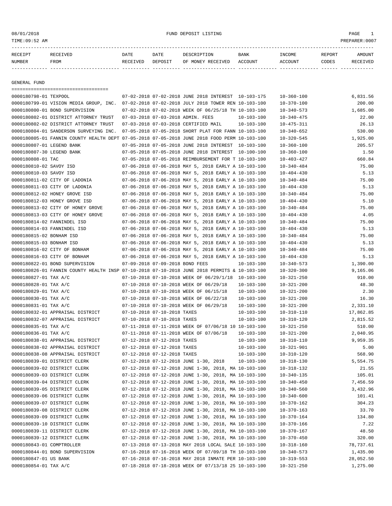#### 08/01/2018 FUND DEPOSIT LISTING PAGE 1

| RECEIPT       | <b>RECEIVED</b> | DATE     | DATE    | DESCRIPTION       | <b>BANK</b> | <b>INCOME</b> | REPORT | AMOUNT   |
|---------------|-----------------|----------|---------|-------------------|-------------|---------------|--------|----------|
| <b>NUMBER</b> | <b>FROM</b>     | RECEIVED | DEPOSIT | OF MONEY RECEIVED | ACCOUNT     | ACCOUNT       | CODES  | RECEIVED |
|               |                 |          |         |                   |             |               |        |          |

GENERAL FUND

=================================== 0000180798-01 TEXPOOL 07-02-2018 07-02-2018 JUNE 2018 INTEREST 10-103-175 10-360-100 6,831.56 0000180799-01 VISION MEDIA GROUP, INC. 07-02-2018 07-02-2018 JULY 2018 TOWER REN 10-103-100 10-370-100 200.00 0000180800-01 BOND SUPERVISION 07-02-2018 07-02-2018 WEEK OF 06/25/18 TH 10-103-100 10-340-573 1,685.00 0000180802-01 DISTRICT ATTORNEY TRUST 07-03-2018 07-03-2018 ADMIN. FEES 10-103-100 10-340-475 22.00 0000180802-02 DISTRICT ATTORNEY TRUST 07-03-2018 07-03-2018 CERTIFIED MAIL 10-103-100 10-475-311 26.13 0000180804-01 SANDERSON SURVEYING INC. 07-05-2018 07-05-2018 SHORT PLAT FOR FANN 10-103-100 10-340-652 530.00 0000180805-01 FANNIN COUNTY HEALTH DEPT 07-05-2018 07-05-2018 JUNE 2018 FOOD PERM 10-103-100 10-320-545 1,925.00 0000180807-01 LEGEND BANK 07-05-2018 07-05-2018 JUNE 2018 INTEREST 10-103-100 10-360-100 205.57 0000180807-30 LEGEND BANK 07-05-2018 07-05-2018 JUNE 2018 INTEREST 10-100-100 10-360-100 1.50 0000180808-01 TAC 07-05-2018 07-05-2018 REIMBURSEMENT FOR T 10-103-100 10-403-427 660.84 0000180810-02 SAVOY ISD 07-06-2018 07-06-2018 MAY 5, 2018 EARLY A 10-103-100 10-340-484 75.00 0000180810-03 SAVOY ISD 07-06-2018 07-06-2018 MAY 5, 2018 EARLY A 10-103-100 10-404-430 5.13 0000180811-02 CITY OF LADONIA 07-06-2018 07-06-2018 MAY 5, 2018 EARLY A 10-103-100 10-340-484 75.00 0000180811-03 CITY OF LADONIA 07-06-2018 07-06-2018 MAY 5, 2018 EARLY A 10-103-100 10-404-430 5.13 0000180812-02 HONEY GROVE ISD 07-06-2018 07-06-2018 MAY 5, 2018 EARLY A 10-103-100 10-340-484 75.00 0000180812-03 HONEY GROVE ISD 07-06-2018 07-06-2018 MAY 5, 2018 EARLY A 10-103-100 10-404-430 5.10 0000180813-02 CITY OF HONEY GROVE 07-06-2018 07-06-2018 MAY 5, 2018 EARLY A 10-103-100 10-340-484 75.00 0000180813-03 CITY OF HONEY GROVE 07-06-2018 07-06-2018 MAY 5, 2018 EARLY A 10-103-100 10-404-430 4.05 0000180814-02 FANNINDEL ISD 07-06-2018 07-06-2018 MAY 5, 2018 EARLY A 10-103-100 10-340-484 75.00 0000180814-03 FANNINDEL ISD 07-06-2018 07-06-2018 MAY 5, 2018 EARLY A 10-103-100 10-404-430 5.13 0000180815-02 BONHAM ISD 07-06-2018 07-06-2018 MAY 5, 2018 EARLY A 10-103-100 10-340-484 75.00 0000180815-03 BONHAM ISD 07-06-2018 07-06-2018 MAY 5, 2018 EARLY A 10-103-100 10-404-430 5.13 0000180816-02 CITY OF BONHAM 07-06-2018 07-06-2018 MAY 5, 2018 EARLY A 10-103-100 10-340-484 75.00 0000180816-03 CITY OF BONHAM 07-06-2018 07-06-2018 MAY 5, 2018 EARLY A 10-103-100 10-404-430 5.13 0000180822-01 BOND SUPERVISION 07-09-2018 07-09-2018 BOND FEES 10-103-100 10-340-573 1,390.00 0000180826-01 FANNIN COUNTY HEALTH INSP 07-10-2018 07-10-2018 JUNE 2018 PERMITS & 10-103-100 10-320-300 9,165.06 0000180827-01 TAX A/C 07-10-2018 07-10-2018 WEEK OF 06/29/1/18 10-103-100 10-321-250 910.00 0000180828-01 TAX A/C 07-10-2018 07-10-2018 WEEK OF 06/29/18 10-103-100 10-321-200 48.30 0000180829-01 TAX A/C 07-10-2018 07-10-2018 WEEK OF 06/15/18 10-103-100 10-321-200 2.30 0000180830-01 TAX A/C 07-10-2018 07-10-2018 WEEK OF 06/22/18 10-103-100 10-321-200 16.30 0000180831-01 TAX A/C 07-10-2018 07-10-2018 WEEK OF 06/29/18 10-103-100 10-321-200 2,331.10 0000180832-01 APPRAISAL DISTRICT 07-10-2018 07-10-2018 TAXES 10-103-100 10-310-110 17,862.85 0000180832-07 APPRAISAL DISTRICT 07-10-2018 07-10-2018 TAXES 10-103-100 10-310-120 2,815.52 0000180835-01 TAX A/C 07-11-2018 07-11-2018 WEEK OF 07/06/18 10 10-103-100 10-321-250 510.00 0000180836-01 TAX A/C 07-11-2018 07-11-2018 WEEK OF 07/06/18 10-103-100 10-321-200 2,040.95 0000180838-01 APPRAISAL DISTRICT 07-12-2018 07-12-2018 TAXES 10-103-100 10-310-110 9,959.35 0000180838-02 APPRAISAL DISTRICT 07-12-2018 07-12-2018 TAXES 10-103-100 10-321-901 5.00 0000180838-08 APPRAISAL DISTRICT 07-12-2018 07-12-2018 TAXES 10-103-100 10-310-120 568.90 0000180839-01 DISTRICT CLERK 07-12-2018 07-12-2018 JUNE 1-30, 2018 10-103-100 10-318-130 5,554.75 0000180839-02 DISTRICT CLERK 07-12-2018 07-12-2018 JUNE 1-30, 2018, MA 10-103-100 10-318-132 21.55 0000180839-03 DISTRICT CLERK 07-12-2018 07-12-2018 JUNE 1-30, 2018, MA 10-103-100 10-340-135 105.01 0000180839-04 DISTRICT CLERK 07-12-2018 07-12-2018 JUNE 1-30, 2018, MA 10-103-100 10-340-450 7,456.59 0000180839-05 DISTRICT CLERK 07-12-2018 07-12-2018 JUNE 1-30, 2018, MA 10-103-100 10-340-560 3,432.96 0000180839-06 DISTRICT CLERK 07-12-2018 07-12-2018 JUNE 1-30, 2018, MA 10-103-100 10-340-600 101.41 0000180839-07 DISTRICT CLERK 07-12-2018 07-12-2018 JUNE 1-30, 2018, MA 10-103-100 10-370-162 304.23 0000180839-08 DISTRICT CLERK 07-12-2018 07-12-2018 JUNE 1-30, 2018, MA 10-103-100 10-370-163 33.70 0000180839-09 DISTRICT CLERK 07-12-2018 07-12-2018 JUNE 1-30, 2018, MA 10-103-100 10-370-164 134.80 0000180839-10 DISTRICT CLERK 07-12-2018 07-12-2018 JUNE 1-30, 2018, MA 10-103-100 10-370-166 7.22 0000180839-11 DISTRICT CLERK 07-12-2018 07-12-2018 JUNE 1-30, 2018, MA 10-103-100 10-370-167 48.50 0000180839-12 DISTRICT CLERK 07-12-2018 07-12-2018 JUNE 1-30, 2018, MA 10-103-100 10-370-450 320.00 0000180843-01 COMPTROLLER 07-13-2018 07-13-2018 MAY 2018 LOCAL SALE 10-103-100 10-318-160 78,737.61 0000180844-01 BOND SUPERVISION 07-16-2018 07-16-2018 WEEK OF 07/09/18 TH 10-103-100 10-340-573 1,435.00 0000180847-01 US BANK 07-16-2018 07-16-2018 MAY 2018 INMATE PER 10-103-100 10-319-553 28,052.50 0000180854-01 TAX A/C 07-18-2018 07-18-2018 WEEK OF 07/13/18 25 10-103-100 10-321-250 1,275.00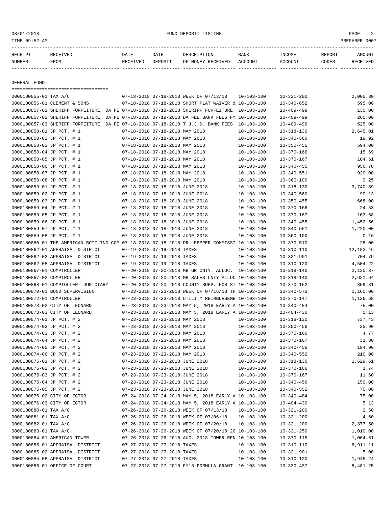08/01/2018 FUND DEPOSIT LISTING PAGE 2

| RECEIPT | TUTED | DATE            | DATE    | DESCRIPTION              | <b>BANK</b> | INCOME         | <b>REPORT</b> | AMOUNT |
|---------|-------|-----------------|---------|--------------------------|-------------|----------------|---------------|--------|
| NUMBER  | FROM  | <b>RECEIVED</b> | DEPOSIT | RECEIVED<br>MONEY<br>0F. | ACCOUNT     | <b>ACCOUNT</b> | CODES         | TVED   |
|         |       |                 |         |                          |             |                |               |        |

GENERAL FUND

=================================== 0000180855-01 TAX A/C 07-18-2018 07-18-2018 WEEK OF 07/13/18 10-103-100 10-321-200 2,005.80 0000180856-01 CLEMENT & SONS 07-18-2018 07-18-2018 SHORT PLAT WAIVER & 10-103-100 10-340-652 595.00 0000180857-01 SHERIFF FORFEITURE, DA FE 07-18-2018 07-18-2018 SHERIFF FORFEITURE 10-103-100 10-409-499 135.00 0000180857-02 SHERIFF FORFEITURE, DA FE 07-18-2018 07-18-2018 DA FEE BANK FEES FY 10-103-100 10-409-499 265.00 0000180857-03 SHERIFF FORFEITURE, DA FE 07-18-2018 07-18-2018 T.J.J.D. BANK FEES 10-103-100 10-409-499 525.00 0000180858-01 JP PCT. # 1 07-18-2018 07-18-2018 MAY 2018 10-103-100 10-318-130 2,645.01 0000180858-02 JP PCT. # 1 07-18-2018 07-18-2018 MAY 2018 10-103-100 10-340-560 19.92 0000180858-03 JP PCT. # 1 07-18-2018 07-18-2018 MAY 2018 10-103-100 10-350-455 594.00 0000180858-04 JP PCT. # 1 07-18-2018 07-18-2018 MAY 2018 10-103-100 10-370-166 15.69 0000180858-05 JP PCT. # 1 07-18-2018 07-18-2018 MAY 2018 10-103-100 10-370-167 104.61 0000180858-06 JP PCT. # 1 07-18-2018 07-18-2018 MAY 2018 10-103-100 10-340-455 956.78 0000180858-07 JP PCT. # 1 07-18-2018 07-18-2018 MAY 2018 10-103-100 10-340-551 920.00 0000180858-08 JP PCT. # 1 07-18-2018 07-18-2018 MAY 2018 10-103-100 10-360-100 0.25 0000180859-01 JP PCT. # 1 07-18-2018 07-18-2018 JUNE 2018 10-103-100 10-318-130 3,740.89 0000180859-02 JP PCT. # 1 07-18-2018 07-18-2018 JUNE 2018 10-103-100 10-340-560 90.13 0000180859-03 JP PCT. # 1 07-18-2018 07-18-2018 JUNE 2018 10-103-100 10-350-455 668.00 0000180859-04 JP PCT. # 1 07-18-2018 07-18-2018 JUNE 2018 10-103-100 10-370-166 24.53 0000180859-05 JP PCT. # 1 07-18-2018 07-18-2018 JUNE 2018 10-103-100 10-370-167 163.68 0000180859-06 JP PCT. # 1 07-18-2018 07-18-2018 JUNE 2018 10-103-100 10-340-455 1,452.56 0000180859-07 JP PCT. # 1 07-18-2018 07-18-2018 JUNE 2018 10-103-100 10-340-551 1,220.00 0000180859-08 JP PCT. # 1 07-18-2018 07-18-2018 JUNE 2018 10-103-100 10-360-100 0.16 0000180860-01 THE AMERICAN BOTTLING COM 07-18-2018 07-18-2018 DR. PEPPER COMMISSI 10-103-100 10-370-510 28.00 0000180862-01 APPRAISAL DISTRICT 07-19-2018 07-19-2018 TAXES 10-103-100 10-310-110 12,183.46 0000180862-02 APPRAISAL DISTRICT 07-19-2018 07-19-2018 TAXES 10-103-100 10-321-901 704.79 0000180862-08 APPRAISAL DISTRICT 07-19-2018 07-19-2018 TAXES 10-103-100 10-310-120 4,504.22 0000180867-01 COMPTROLLER 07-20-2018 07-20-2018 MB GR CNTY. ALLOC. 10-103-100 10-318-140 2,130.37 0000180867-02 COMPTROLLER 07-20-2018 07-20-2018 MB SALES CNTY ALLOC 10-103-100 10-318-140 2,621.64 0000180868-01 COMPTOLLER- JUDICIARY 07-20-2018 07-20-2018 COUNTY SUPP. FOR ST 10-103-100 10-370-152 359.81 0000180870-01 BOND SUPERVISION 07-23-2018 07-23-2018 WEEK OF 07/16/18 TH 10-103-100 10-340-573 1,160.00 0000180872-01 COMPTROLLER 07-23-2018 07-23-2018 UTILITY REIMBURSEME 10-103-100 10-370-147 1,126.68 0000180873-02 CITY OF LEONARD 07-23-2018 07-23-2018 MAY 5, 2018 EARLY A 10-103-100 10-340-484 75.00 0000180873-03 CITY OF LEONARD 07-23-2018 07-23-2018 MAY 5, 2018 EARLY A 10-103-100 10-404-430 5.13 0000180874-01 JP PCT. # 2 07-23-2018 07-23-2018 MAY 2018 10-103-100 10-318-130 737.43 0000180874-02 JP PCT. # 2 07-23-2018 07-23-2018 MAY 2018 10-103-100 10-350-456 25.90 0000180874-03 JP PCT. # 2 07-23-2018 07-23-2018 MAY 2018 10-103-100 10-370-166 4.77 0000180874-04 JP PCT. # 2 07-23-2018 07-23-2018 MAY 2018 10-103-100 10-370-167 31.80 0000180874-05 JP PCT. # 2 07-23-2018 07-23-2018 MAY 2018 10-103-100 10-340-456 194.90 0000180874-06 JP PCT. # 2 07-23-2018 07-23-2018 MAY 2018 10-103-100 10-340-552 210.00 0000180875-01 JP PCT. # 2 07-23-2018 07-23-2018 JUNE 2018 10-103-100 10-318-130 1,629.61 0000180875-02 JP PCT. # 2 07-23-2018 07-23-2018 JUNE 2018 10-103-100 10-370-166 1.74 0000180875-03 JP PCT. # 2 07-23-2018 07-23-2018 JUNE 2018 10-103-100 10-370-167 11.60 0000180875-04 JP PCT. # 2 07-23-2018 07-23-2018 JUNE 2018 10-103-100 10-340-456 150.00 0000180875-05 JP PCT. # 2 07-23-2018 07-23-2018 JUNE 2018 10-103-100 10-340-552 70.00 0000180876-02 CITY OF ECTOR 07-24-2018 07-24-2018 MAY 5, 2018 EARLY A 10-103-100 10-340-484 75.00 0000180876-03 CITY OF ECTOR 07-24-2018 07-24-2018 MAY 5, 2018 EARLY A 10-103-100 10-404-430 5.13 0000180880-01 TAX A/C 07-26-2018 07-26-2018 WEEK OF 07/13/18 10-103-100 10-321-200 2.50 0000180881-01 TAX A/C 07-26-2018 07-26-2018 WEEK OF 07/06/18 10-103-100 10-321-200 4.60 0000180882-01 TAX A/C 07-26-2018 07-26-2018 WEEK OF 07/20/18 10-103-100 10-321-200 2,377.50 0000180883-01 TAX A/C 07-26-2018 07-26-2018 WEEK OF 07/20/18 20 10-103-100 10-321-250 1,010.00 0000180884-01 AMERICAN TOWER 07-26-2018 07-26-2018 AUG. 2018 TOWER REN 10-103-100 10-370-115 1,064.61 0000180885-01 APPRAISAL DISTRICT 07-27-2018 07-27-2018 TAXES 10-103-100 10-310-110 6,911.11 0000180885-02 APPRAISAL DISTRICT 07-27-2018 07-27-2018 TAXES 10-103-100 10-321-901 5.00 0000180885-08 APPRAISAL DISTRICT 07-27-2018 07-27-2018 TAXES 10-103-100 10-310-120 1,945.24 0000180886-01 OFFICE OF COURT 07-27-2018 07-27-2018 FY18 FORMULA GRANT 10-103-100 10-330-437 8,481.25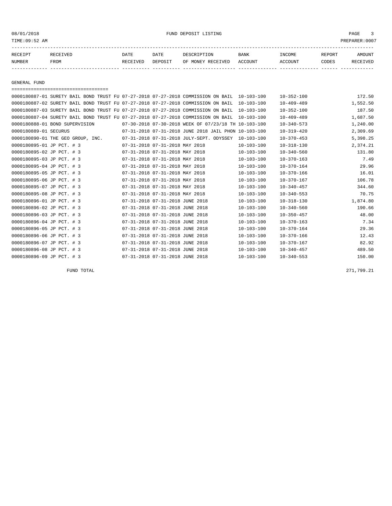TIME:09:52 AM PREPARER:0007

| RECEIPT | <b>RECEIVED</b> | DATE     | DATE    | DESCRIPTION       | <b>BANK</b> | INCOME  | <b>REPORT</b> | AMOUNT          |
|---------|-----------------|----------|---------|-------------------|-------------|---------|---------------|-----------------|
| NUMBER  | FROM            | RECEIVED | DEPOSIT | OF MONEY RECEIVED | ACCOUNT     | ACCOUNT | CODES         | <b>RECEIVED</b> |
|         |                 |          |         |                   |             |         |               |                 |

GENERAL FUND

===================================

|                           | 0000180887-01 SURETY BAIL BOND TRUST FU 07-27-2018 07-27-2018 COMMISSION ON BAIL 10-103-100 |                                 |                                 |                                                      |                  | $10 - 352 - 100$ | 172.50   |
|---------------------------|---------------------------------------------------------------------------------------------|---------------------------------|---------------------------------|------------------------------------------------------|------------------|------------------|----------|
|                           | 0000180887-02 SURETY BAIL BOND TRUST FU 07-27-2018 07-27-2018 COMMISSION ON BAIL            |                                 |                                 |                                                      | $10 - 103 - 100$ | $10 - 409 - 489$ | 1,552.50 |
|                           | 0000180887-03 SURETY BAIL BOND TRUST FU 07-27-2018 07-27-2018 COMMISSION ON BAIL            |                                 |                                 |                                                      | $10 - 103 - 100$ | $10 - 352 - 100$ | 187.50   |
|                           | 0000180887-04 SURETY BAIL BOND TRUST FU 07-27-2018 07-27-2018 COMMISSION ON BAIL            |                                 |                                 |                                                      | $10 - 103 - 100$ | $10 - 409 - 489$ | 1,687.50 |
|                           | 0000180888-01 BOND SUPERVISION                                                              |                                 |                                 | 07-30-2018 07-30-2018 WEEK OF 07/23/18 TH 10-103-100 |                  | $10 - 340 - 573$ | 1,240.00 |
| 0000180889-01 SECURUS     |                                                                                             |                                 |                                 | 07-31-2018 07-31-2018 JUNE 2018 JAIL PHON 10-103-100 |                  | $10 - 319 - 420$ | 2,309.69 |
|                           | 0000180890-01 THE GEO GROUP, INC.                                                           |                                 |                                 | 07-31-2018 07-31-2018 JULY-SEPT. ODYSSEY             | $10 - 103 - 100$ | $10 - 370 - 453$ | 5,398.25 |
| 0000180895-01 JP PCT. # 3 |                                                                                             | 07-31-2018 07-31-2018 MAY 2018  |                                 |                                                      | $10 - 103 - 100$ | $10 - 318 - 130$ | 2,374.21 |
| 0000180895-02 JP PCT. # 3 |                                                                                             | 07-31-2018 07-31-2018 MAY 2018  |                                 |                                                      | $10 - 103 - 100$ | $10 - 340 - 560$ | 131.80   |
| 0000180895-03 JP PCT. # 3 |                                                                                             | 07-31-2018 07-31-2018 MAY 2018  |                                 |                                                      | $10 - 103 - 100$ | $10 - 370 - 163$ | 7.49     |
| 0000180895-04 JP PCT. # 3 |                                                                                             | 07-31-2018 07-31-2018 MAY 2018  |                                 |                                                      | $10 - 103 - 100$ | $10 - 370 - 164$ | 29.96    |
| 0000180895-05 JP PCT. # 3 |                                                                                             | 07-31-2018 07-31-2018 MAY 2018  |                                 |                                                      | $10 - 103 - 100$ | $10 - 370 - 166$ | 16.01    |
| 0000180895-06 JP PCT. # 3 |                                                                                             | 07-31-2018 07-31-2018 MAY 2018  |                                 |                                                      | $10 - 103 - 100$ | $10 - 370 - 167$ | 106.78   |
| 0000180895-07 JP PCT. # 3 |                                                                                             | 07-31-2018 07-31-2018 MAY 2018  |                                 |                                                      | $10 - 103 - 100$ | $10 - 340 - 457$ | 344.60   |
| 0000180895-08 JP PCT. # 3 |                                                                                             | 07-31-2018 07-31-2018 MAY 2018  |                                 |                                                      | $10 - 103 - 100$ | $10 - 340 - 553$ | 70.75    |
| 0000180896-01 JP PCT. # 3 |                                                                                             | 07-31-2018 07-31-2018 JUNE 2018 |                                 |                                                      | $10 - 103 - 100$ | $10 - 318 - 130$ | 1,874.80 |
| 0000180896-02 JP PCT. # 3 |                                                                                             | 07-31-2018 07-31-2018 JUNE 2018 |                                 |                                                      | $10 - 103 - 100$ | $10 - 340 - 560$ | 190.66   |
| 0000180896-03 JP PCT. # 3 |                                                                                             | 07-31-2018 07-31-2018 JUNE 2018 |                                 |                                                      | $10 - 103 - 100$ | $10 - 350 - 457$ | 48.00    |
| 0000180896-04 JP PCT. # 3 |                                                                                             | 07-31-2018 07-31-2018 JUNE 2018 |                                 |                                                      | $10 - 103 - 100$ | $10 - 370 - 163$ | 7.34     |
| 0000180896-05 JP PCT. # 3 |                                                                                             | 07-31-2018 07-31-2018 JUNE 2018 |                                 |                                                      | $10 - 103 - 100$ | $10 - 370 - 164$ | 29.36    |
| 0000180896-06 JP PCT. # 3 |                                                                                             | 07-31-2018 07-31-2018 JUNE 2018 |                                 |                                                      | $10 - 103 - 100$ | $10 - 370 - 166$ | 12.43    |
| 0000180896-07 JP PCT. # 3 |                                                                                             | 07-31-2018 07-31-2018 JUNE 2018 |                                 |                                                      | $10 - 103 - 100$ | $10 - 370 - 167$ | 82.92    |
| 0000180896-08 JP PCT. # 3 |                                                                                             | 07-31-2018 07-31-2018 JUNE 2018 |                                 |                                                      | $10 - 103 - 100$ | $10 - 340 - 457$ | 489.50   |
| 0000180896-09 JP PCT. # 3 |                                                                                             |                                 | 07-31-2018 07-31-2018 JUNE 2018 |                                                      | $10 - 103 - 100$ | $10 - 340 - 553$ | 150.00   |

FUND TOTAL 271,799.21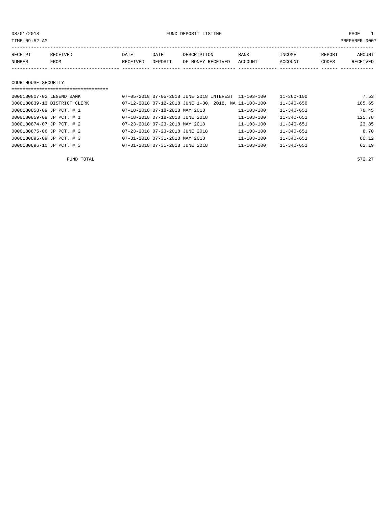08/01/2018 FUND DEPOSIT LISTING PAGE 1

| RECEIPT | <b>RECEIVED</b> | DATE            | DATE    | DESCRIPTION       | <b>BANK</b> | INCOME  | <b>REPORT</b> | AMOUNT          |
|---------|-----------------|-----------------|---------|-------------------|-------------|---------|---------------|-----------------|
| NUMBER  | FROM            | <b>RECEIVED</b> | DEPOSIT | OF MONEY RECEIVED | ACCOUNT     | ACCOUNT | CODES         | <b>RECEIVED</b> |
|         |                 |                 |         |                   |             |         |               |                 |

#### COURTHOUSE SECURITY

| ================================= |                                                      |                  |                  |        |
|-----------------------------------|------------------------------------------------------|------------------|------------------|--------|
| 0000180807-02 LEGEND BANK         | 07-05-2018 07-05-2018 JUNE 2018 INTEREST 11-103-100  |                  | $11 - 360 - 100$ | 7.53   |
| 0000180839-13 DISTRICT CLERK      | 07-12-2018 07-12-2018 JUNE 1-30, 2018, MA 11-103-100 |                  | $11 - 340 - 650$ | 185.65 |
| 0000180858-09 JP PCT. # 1         | 07-18-2018 07-18-2018 MAY 2018                       | $11 - 103 - 100$ | $11 - 340 - 651$ | 78.45  |
| 0000180859-09 JP PCT. # 1         | 07-18-2018 07-18-2018 JUNE 2018                      | $11 - 103 - 100$ | $11 - 340 - 651$ | 125.78 |
| 0000180874-07 JP PCT. # 2         | 07-23-2018 07-23-2018 MAY 2018                       | $11 - 103 - 100$ | $11 - 340 - 651$ | 23.85  |
| 0000180875-06 JP PCT. # 2         | 07-23-2018 07-23-2018 JUNE 2018                      | $11 - 103 - 100$ | $11 - 340 - 651$ | 8.70   |
| 0000180895-09 JP PCT. # 3         | 07-31-2018 07-31-2018 MAY 2018                       | $11 - 103 - 100$ | $11 - 340 - 651$ | 80.12  |
| 0000180896-10 JP PCT. # 3         | 07-31-2018 07-31-2018 JUNE 2018                      | $11 - 103 - 100$ | $11 - 340 - 651$ | 62.19  |

FUND TOTAL  $572.27$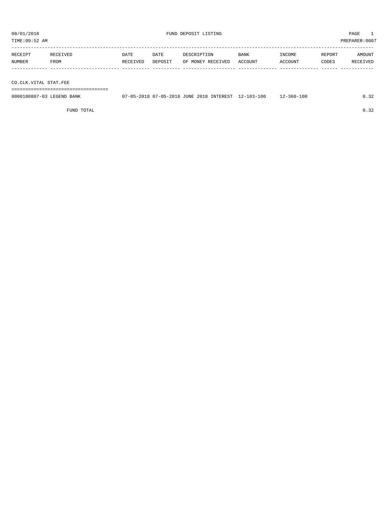| TIME:09:52 AM |             |          |         |                   |             |                |        | PREPARER: 0007 |
|---------------|-------------|----------|---------|-------------------|-------------|----------------|--------|----------------|
| RECEIPT       | RECEIVED    | DATE     | DATE    | DESCRIPTION       | <b>BANK</b> | INCOME         | REPORT | AMOUNT         |
| NUMBER        | <b>FROM</b> | RECEIVED | DEPOSIT | OF MONEY RECEIVED | ACCOUNT     | <b>ACCOUNT</b> | CODES  | RECEIVED       |
|               |             |          |         |                   |             |                |        |                |

CO.CLK.VITAL STAT.FEE

===================================

| 0000180807-03 LEGEND BANK | 07-05-2018 07-05-2018 JUNE 2018 INTEREST 12-103-100 |  | 12-360-100 |  |
|---------------------------|-----------------------------------------------------|--|------------|--|
|                           |                                                     |  |            |  |

FUND TOTAL  $0.32$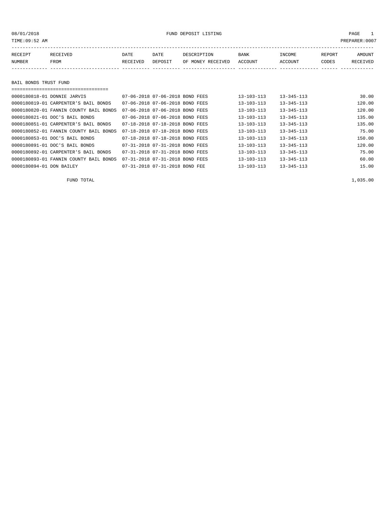| TIME:09:52 AM |                       |          |         |                   |         |         |        | PREPARER:0007 |  |  |
|---------------|-----------------------|----------|---------|-------------------|---------|---------|--------|---------------|--|--|
| RECEIPT       | RECEIVED              | DATE     | DATE    | DESCRIPTION       | BANK    | INCOME  | REPORT | AMOUNT        |  |  |
| NUMBER        | FROM                  | RECEIVED | DEPOSIT | OF MONEY RECEIVED | ACCOUNT | ACCOUNT | CODES  | RECEIVED      |  |  |
|               |                       |          |         |                   |         |         |        |               |  |  |
|               | BAIL BONDS TRUST FUND |          |         |                   |         |         |        |               |  |  |
|               |                       |          |         |                   |         |         |        |               |  |  |

| 0000180818-01 DONNIE JARVIS            | 07-06-2018 07-06-2018 BOND FEES | $13 - 103 - 113$ | $13 - 345 - 113$ | 30.00  |
|----------------------------------------|---------------------------------|------------------|------------------|--------|
| 0000180819-01 CARPENTER'S BAIL BONDS   | 07-06-2018 07-06-2018 BOND FEES | $13 - 103 - 113$ | $13 - 345 - 113$ | 120.00 |
| 0000180820-01 FANNIN COUNTY BAIL BONDS | 07-06-2018 07-06-2018 BOND FEES | $13 - 103 - 113$ | $13 - 345 - 113$ | 120.00 |
| 0000180821-01 DOC'S BAIL BONDS         | 07-06-2018 07-06-2018 BOND FEES | $13 - 103 - 113$ | $13 - 345 - 113$ | 135.00 |
| 0000180851-01 CARPENTER'S BAIL BONDS   | 07-18-2018 07-18-2018 BOND FEES | $13 - 103 - 113$ | $13 - 345 - 113$ | 135.00 |
| 0000180852-01 FANNIN COUNTY BAIL BONDS | 07-18-2018 07-18-2018 BOND FEES | $13 - 103 - 113$ | $13 - 345 - 113$ | 75.00  |
| 0000180853-01 DOC'S BAIL BONDS         | 07-18-2018 07-18-2018 BOND FEES | $13 - 103 - 113$ | $13 - 345 - 113$ | 150.00 |
| 0000180891-01 DOC'S BAIL BONDS         | 07-31-2018 07-31-2018 BOND FEES | $13 - 103 - 113$ | $13 - 345 - 113$ | 120.00 |
| 0000180892-01 CARPENTER'S BAIL BONDS   | 07-31-2018 07-31-2018 BOND FEES | $13 - 103 - 113$ | $13 - 345 - 113$ | 75.00  |
| 0000180893-01 FANNIN COUNTY BAIL BONDS | 07-31-2018 07-31-2018 BOND FEES | $13 - 103 - 113$ | $13 - 345 - 113$ | 60.00  |
| 0000180894-01 DON BAILEY               | 07-31-2018 07-31-2018 BOND FEE  | $13 - 103 - 113$ | $13 - 345 - 113$ | 15.00  |

FUND TOTAL  $1,035.00$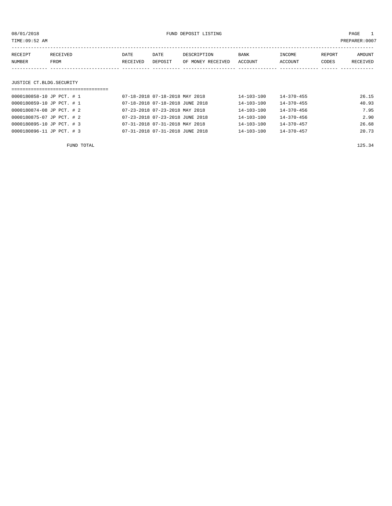| TIME:09:52 AM             |                         |                  |                                 |                                  |                  |                          |                 | PREPARER: 0007     |
|---------------------------|-------------------------|------------------|---------------------------------|----------------------------------|------------------|--------------------------|-----------------|--------------------|
| RECEIPT<br><b>NUMBER</b>  | <b>RECEIVED</b><br>FROM | DATE<br>RECEIVED | DATE<br>DEPOSIT                 | DESCRIPTION<br>OF MONEY RECEIVED | BANK<br>ACCOUNT  | <b>TNCOME</b><br>ACCOUNT | REPORT<br>CODES | AMOUNT<br>RECEIVED |
| JUSTICE CT.BLDG.SECURITY  |                         |                  |                                 |                                  |                  |                          |                 |                    |
|                           |                         |                  |                                 |                                  |                  |                          |                 |                    |
| 0000180858-10 JP PCT. # 1 |                         |                  | 07-18-2018 07-18-2018 MAY 2018  |                                  | $14 - 103 - 100$ | $14 - 370 - 455$         |                 | 26.15              |
| 0000180859-10 JP PCT. # 1 |                         |                  | 07-18-2018 07-18-2018 JUNE 2018 |                                  | $14 - 103 - 100$ | $14 - 370 - 455$         |                 | 40.93              |

| FUND TOTAL                |                                 |                  |                  | 125.34 |
|---------------------------|---------------------------------|------------------|------------------|--------|
| 0000180896-11 JP PCT. # 3 | 07-31-2018 07-31-2018 JUNE 2018 | $14 - 103 - 100$ | $14 - 370 - 457$ | 20.73  |
| 0000180895-10 JP PCT. # 3 | 07-31-2018 07-31-2018 MAY 2018  | 14-103-100       | 14-370-457       | 26.68  |
| 0000180875-07 JP PCT. # 2 | 07-23-2018 07-23-2018 JUNE 2018 | 14-103-100       | $14 - 370 - 456$ | 2.90   |
| 0000180874-08 JP PCT. # 2 | 07-23-2018 07-23-2018 MAY 2018  | $14 - 103 - 100$ | $14 - 370 - 456$ | 7.95   |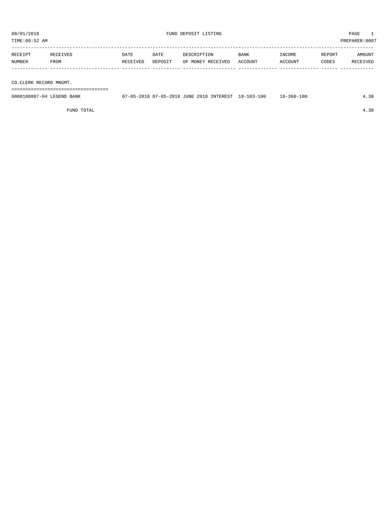TIME:09:52 AM PREPARER:0007 ----------------------------------------------------------------------------------------------------------------------------------- RECEIPT RECEIVED DATE DATE DESCRIPTION BANK INCOME REPORT AMOUNT NUMBER FROM RECEIVED DEPOSIT OF MONEY RECEIVED ACCOUNT ACCOUNT CODES RECEIVED ------------- ------------------------- ---------- ---------- ------------------- -------------- -------------- ------ ------------

CO.CLERK RECORD MNGMT.

===================================

| 0000180807-04 LEGEND BANK | 7-05-2018 07-05-2018 JUNE 2018 INTEREST | 18-103-100 | 18-360-100 |  |
|---------------------------|-----------------------------------------|------------|------------|--|
|                           |                                         |            |            |  |

FUND TOTAL 4.38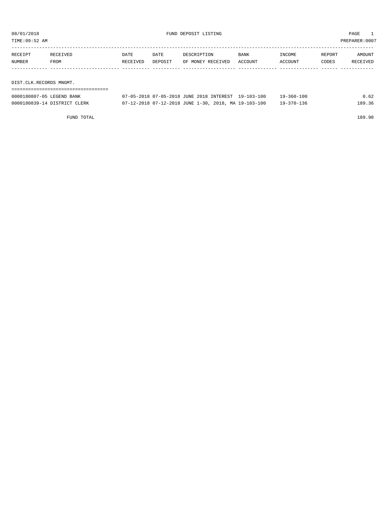TIME:09:52 AM PREPARER:0007

| RECEIPT | RECEIVED | DATE     | DATE    | DESCRIPTION       | <b>BANK</b> | INCOME  | REPORT | AMOUNT   |
|---------|----------|----------|---------|-------------------|-------------|---------|--------|----------|
| NUMBER  | FROM     | RECEIVED | DEPOSIT | OF MONEY RECEIVED | ACCOUNT     | ACCOUNT | CODES  | RECEIVED |
|         |          |          |         |                   |             |         |        |          |
|         |          |          |         |                   |             |         |        |          |

DIST.CLK.RECORDS MNGMT.

| 0000180807-05 LEGEND BANK    | 07-05-2018 07-05-2018 JUNE 2018 INTEREST 19-103-100  |  | $19 - 360 - 100$ | 0.62   |
|------------------------------|------------------------------------------------------|--|------------------|--------|
| 0000180839-14 DISTRICT CLERK | 07-12-2018 07-12-2018 JUNE 1-30, 2018, MA 19-103-100 |  | $19 - 370 - 136$ | 189.36 |

FUND TOTAL 189.98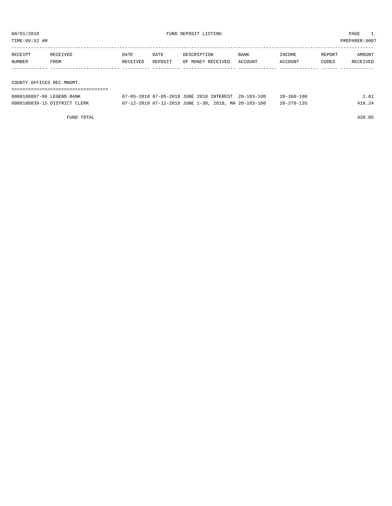TIME:09:52 AM PREPARER:0007

| RECEIPT | RECEIVED                 | DATE     | DATE    | DESCRIPTION       | BANK    | INCOME  | REPORT | AMOUNT   |
|---------|--------------------------|----------|---------|-------------------|---------|---------|--------|----------|
| NUMBER  | FROM                     | RECEIVED | DEPOSIT | OF MONEY RECEIVED | ACCOUNT | ACCOUNT | CODES  | RECEIVED |
|         |                          |          |         |                   |         |         |        |          |
|         |                          |          |         |                   |         |         |        |          |
|         | COUNTY OFFICES REC MNGMT |          |         |                   |         |         |        |          |

COUNTY OFFICES REC.MNGMT.

| 0000180807-06 LEGEND BANK    | 07-05-2018 07-05-2018 JUNE 2018 INTEREST 20-103-100  |  | $20 - 360 - 100$ | 2.61   |
|------------------------------|------------------------------------------------------|--|------------------|--------|
| 0000180839-15 DISTRICT CLERK | 07-12-2018 07-12-2018 JUNE 1-30, 2018, MA 20-103-100 |  | $20 - 370 - 135$ | 418.24 |

FUND TOTAL 420.85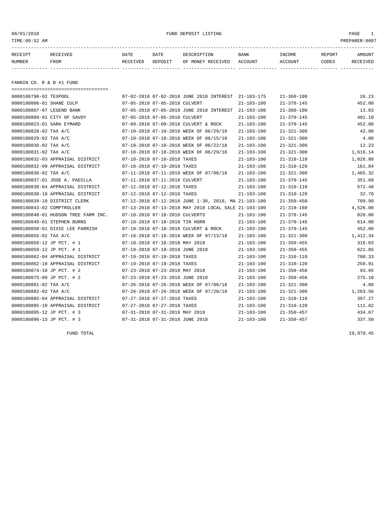#### 08/01/2018 FUND DEPOSIT LISTING PAGE 1

| RECEIPT | <b>RECEIVED</b> | DATE     | DATE    | DESCRIPTION       | <b>BANK</b> | <b>INCOME</b> | REPORT | AMOUNT     |
|---------|-----------------|----------|---------|-------------------|-------------|---------------|--------|------------|
| NUMBER  | FROM            | RECEIVED | DEPOSIT | OF MONEY RECEIVED | ACCOUNT     | ACCOUNT       | CODES  | זת 1777 תי |
|         |                 |          |         |                   |             |               |        |            |

FANNIN CO. R & B #1 FUND

===================================

| 0000180798-02 TEXPOOL               |                             |                                 | 07-02-2018 07-02-2018 JUNE 2018 INTEREST 21-103-175  |                  | $21 - 360 - 100$ | 26.23    |
|-------------------------------------|-----------------------------|---------------------------------|------------------------------------------------------|------------------|------------------|----------|
| 0000180806-01 SHANE CULP            |                             | 07-05-2018 07-05-2018 CULVERT   |                                                      | $21 - 103 - 100$ | $21 - 370 - 145$ | 452.00   |
| 0000180807-07 LEGEND BANK           |                             |                                 | 07-05-2018 07-05-2018 JUNE 2018 INTEREST 21-103-100  |                  | $21 - 360 - 100$ | 13.03    |
| 0000180809-01 CITY OF SAVOY         |                             | 07-05-2018 07-05-2018 CULVERT   |                                                      | $21 - 103 - 100$ | $21 - 370 - 145$ | 401.10   |
| 0000180823-01 SARA EYMARD           |                             |                                 | 07-09-2018 07-09-2018 CULVERT & ROCK                 | $21 - 103 - 100$ | $21 - 370 - 145$ | 452.00   |
| 0000180828-02 TAX A/C               |                             |                                 | 07-10-2018 07-10-2018 WEEK OF 06/29/18               | $21 - 103 - 100$ | $21 - 321 - 300$ | 42.80    |
| 0000180829-02 TAX A/C               |                             |                                 | 07-10-2018 07-10-2018 WEEK OF 06/15/18               | 21-103-100       | $21 - 321 - 300$ | 4.08     |
| 0000180830-02 TAX A/C               |                             |                                 | 07-10-2018 07-10-2018 WEEK OF 06/22/18               | 21-103-100       | $21 - 321 - 300$ | 12.23    |
| 0000180831-02 TAX A/C               |                             |                                 | 07-10-2018 07-10-2018 WEEK OF 06/29/18               | $21 - 103 - 100$ | $21 - 321 - 300$ | 1,616.14 |
| 0000180832-03 APPRAISAL DISTRICT    |                             | 07-10-2018 07-10-2018 TAXES     |                                                      | $21 - 103 - 100$ | $21 - 310 - 110$ | 1,026.80 |
| 0000180832-09 APPRAISAL DISTRICT    |                             | 07-10-2018 07-10-2018 TAXES     |                                                      | $21 - 103 - 100$ | $21 - 310 - 120$ | 161.84   |
| 0000180836-02 TAX A/C               |                             |                                 | 07-11-2018 07-11-2018 WEEK OF 07/06/18               | $21 - 103 - 100$ | $21 - 321 - 300$ | 1,465.32 |
| 0000180837-01 JOSE A. PADILLA       |                             | 07-11-2018 07-11-2018 CULVERT   |                                                      | $21 - 103 - 100$ | $21 - 370 - 145$ | 351.60   |
| 0000180838-04 APPRAISAL DISTRICT    |                             | 07-12-2018 07-12-2018 TAXES     |                                                      | $21 - 103 - 100$ | $21 - 310 - 110$ | 572.48   |
| 0000180838-10 APPRAISAL DISTRICT    |                             | 07-12-2018 07-12-2018 TAXES     |                                                      | $21 - 103 - 100$ | $21 - 310 - 120$ | 32.70    |
| 0000180839-18 DISTRICT CLERK        |                             |                                 | 07-12-2018 07-12-2018 JUNE 1-30, 2018, MA 21-103-100 |                  | $21 - 350 - 450$ | 709.99   |
| 0000180843-02 COMPTROLLER           |                             |                                 | 07-13-2018 07-13-2018 MAY 2018 LOCAL SALE 21-103-100 |                  | $21 - 318 - 160$ | 4,526.00 |
| 0000180848-01 HUDSON TREE FARM INC. |                             | 07-18-2018 07-18-2018 CULVERTS  |                                                      | $21 - 103 - 100$ | $21 - 370 - 145$ | 820.00   |
| 0000180849-01 STEPHEN BURNS         |                             | 07-18-2018 07-18-2018 TIN HORN  |                                                      | $21 - 103 - 100$ | $21 - 370 - 145$ | 614.00   |
| 0000180850-01 DIXIE LEE PARRISH     |                             |                                 | 07-18-2018 07-18-2018 CULVERT & ROCK                 | $21 - 103 - 100$ | $21 - 370 - 145$ | 452.00   |
| 0000180855-02 TAX A/C               |                             |                                 | 07-18-2018 07-18-2018 WEEK OF 07/13/18               | $21 - 103 - 100$ | $21 - 321 - 300$ | 1,412.34 |
| 0000180858-12 JP PCT. # 1           |                             | 07-18-2018 07-18-2018 MAY 2018  |                                                      | $21 - 103 - 100$ | $21 - 350 - 455$ | 316.03   |
| 0000180859-12 JP PCT. # 1           |                             | 07-18-2018 07-18-2018 JUNE 2018 |                                                      | $21 - 103 - 100$ | $21 - 350 - 455$ | 621.85   |
| 0000180862-04 APPRAISAL DISTRICT    |                             | 07-19-2018 07-19-2018 TAXES     |                                                      | $21 - 103 - 100$ | $21 - 310 - 110$ | 700.33   |
| 0000180862-10 APPRAISAL DISTRICT    |                             | 07-19-2018 07-19-2018 TAXES     |                                                      | $21 - 103 - 100$ | $21 - 310 - 120$ | 258.91   |
| 0000180874-10 JP PCT. # 2           |                             | 07-23-2018 07-23-2018 MAY 2018  |                                                      | $21 - 103 - 100$ | $21 - 350 - 456$ | 93.65    |
| 0000180875-09 JP PCT. # 2           |                             | 07-23-2018 07-23-2018 JUNE 2018 |                                                      | $21 - 103 - 100$ | $21 - 350 - 456$ | 275.10   |
| 0000180881-02 TAX A/C               |                             |                                 | 07-26-2018 07-26-2018 WEEK OF 07/06/18               | $21 - 103 - 100$ | $21 - 321 - 300$ | 4.08     |
| 0000180882-02 TAX A/C               |                             |                                 | 07-26-2018 07-26-2018 WEEK OF 07/20/18               | $21 - 103 - 100$ | $21 - 321 - 300$ | 1,263.56 |
| 0000180885-04 APPRAISAL DISTRICT    |                             | 07-27-2018 07-27-2018 TAXES     |                                                      | $21 - 103 - 100$ | $21 - 310 - 110$ | 397.27   |
| 0000180885-10 APPRAISAL DISTRICT    | 07-27-2018 07-27-2018 TAXES |                                 |                                                      | $21 - 103 - 100$ | $21 - 310 - 120$ | 111.82   |
| 0000180895-12 JP PCT. # 3           |                             | 07-31-2018 07-31-2018 MAY 2018  |                                                      | $21 - 103 - 100$ | $21 - 350 - 457$ | 434.67   |
| 0000180896-13 JP PCT. # 3           |                             | 07-31-2018 07-31-2018 JUNE 2018 |                                                      | $21 - 103 - 100$ | $21 - 350 - 457$ | 337.50   |

FUND TOTAL 19,979.45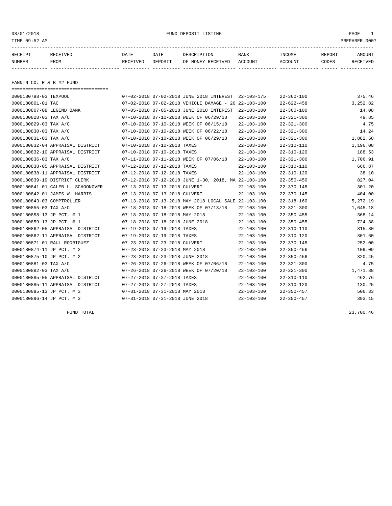08/01/2018 FUND DEPOSIT LISTING PAGE 1

| RECEIPT | <b>RECEIVED</b> | DATE     | DATE    | DESCRIPTION       | <b>BANK</b> | <b>INCOME</b> | REPORT | <b>AMOUNT</b>   |
|---------|-----------------|----------|---------|-------------------|-------------|---------------|--------|-----------------|
| NUMBER  | FROM            | RECEIVED | DEPOSIT | OF MONEY RECEIVED | ACCOUNT     | ACCOUNT       | CODES  | <b>RECEIVED</b> |
|         |                 |          |         |                   |             |               |        |                 |

FANNIN CO. R & B #2 FUND

| ====================================== |                                                      |                  |                  |          |
|----------------------------------------|------------------------------------------------------|------------------|------------------|----------|
| 0000180798-03 TEXPOOL                  | 07-02-2018 07-02-2018 JUNE 2018 INTEREST 22-103-175  |                  | $22 - 360 - 100$ | 375.46   |
| 0000180801-01 TAC                      | 07-02-2018 07-02-2018 VEHICLE DAMAGE - 20 22-103-100 |                  | $22 - 622 - 458$ | 3,252.82 |
| 0000180807-08 LEGEND BANK              | 07-05-2018 07-05-2018 JUNE 2018 INTEREST 22-103-100  |                  | $22 - 360 - 100$ | 14.08    |
| 0000180828-03 TAX A/C                  | 07-10-2018 07-10-2018 WEEK OF 06/29/18               | $22 - 103 - 100$ | $22 - 321 - 300$ | 49.85    |
| 0000180829-03 TAX A/C                  | 07-10-2018 07-10-2018 WEEK OF 06/15/18               | $22 - 103 - 100$ | $22 - 321 - 300$ | 4.75     |
| 0000180830-03 TAX A/C                  | 07-10-2018 07-10-2018 WEEK OF 06/22/18               | $22 - 103 - 100$ | $22 - 321 - 300$ | 14.24    |
| 0000180831-03 TAX A/C                  | 07-10-2018 07-10-2018 WEEK OF 06/29/18               | $22 - 103 - 100$ | $22 - 321 - 300$ | 1,882.58 |
| 0000180832-04 APPRAISAL DISTRICT       | 07-10-2018 07-10-2018 TAXES                          | $22 - 103 - 100$ | $22 - 310 - 110$ | 1,196.08 |
| 0000180832-10 APPRAISAL DISTRICT       | 07-10-2018 07-10-2018 TAXES                          | 22-103-100       | $22 - 310 - 120$ | 188.53   |
| 0000180836-03 TAX A/C                  | 07-11-2018 07-11-2018 WEEK OF 07/06/18               | $22 - 103 - 100$ | $22 - 321 - 300$ | 1,706.91 |
| 0000180838-05 APPRAISAL DISTRICT       | 07-12-2018 07-12-2018 TAXES                          | $22 - 103 - 100$ | $22 - 310 - 110$ | 666.87   |
| 0000180838-11 APPRAISAL DISTRICT       | 07-12-2018 07-12-2018 TAXES                          | $22 - 103 - 100$ | $22 - 310 - 120$ | 38.10    |
| 0000180839-19 DISTRICT CLERK           | 07-12-2018 07-12-2018 JUNE 1-30, 2018, MA 22-103-100 |                  | $22 - 350 - 450$ | 827.04   |
| 0000180841-01 CALEB L. SCHOONOVER      | 07-13-2018 07-13-2018 CULVERT                        | 22-103-100       | 22-370-145       | 301.20   |
| 0000180842-01 JAMES W. HARRIS          | 07-13-2018 07-13-2018 CULVERT                        | $22 - 103 - 100$ | $22 - 370 - 145$ | 404.00   |
| 0000180843-03 COMPTROLLER              | 07-13-2018 07-13-2018 MAY 2018 LOCAL SALE 22-103-100 |                  | $22 - 318 - 160$ | 5,272.19 |
| 0000180855-03 TAX A/C                  | 07-18-2018 07-18-2018 WEEK OF 07/13/18               | $22 - 103 - 100$ | $22 - 321 - 300$ | 1,645.18 |
| 0000180858-13 JP PCT. # 1              | 07-18-2018 07-18-2018 MAY 2018                       | 22-103-100       | $22 - 350 - 455$ | 368.14   |
| 0000180859-13 JP PCT. # 1              | 07-18-2018 07-18-2018 JUNE 2018                      | 22-103-100       | $22 - 350 - 455$ | 724.38   |
| 0000180862-05 APPRAISAL DISTRICT       | 07-19-2018 07-19-2018 TAXES                          | $22 - 103 - 100$ | $22 - 310 - 110$ | 815.80   |
| 0000180862-11 APPRAISAL DISTRICT       | 07-19-2018 07-19-2018 TAXES                          | $22 - 103 - 100$ | $22 - 310 - 120$ | 301.60   |
| 0000180871-01 RAUL RODRIGUEZ           | 07-23-2018 07-23-2018 CULVERT                        | $22 - 103 - 100$ | $22 - 370 - 145$ | 252.00   |
| 0000180874-11 JP PCT. # 2              | 07-23-2018 07-23-2018 MAY 2018                       | $22 - 103 - 100$ | $22 - 350 - 456$ | 109.09   |
| 0000180875-10 JP PCT. # 2              | 07-23-2018 07-23-2018 JUNE 2018                      | $22 - 103 - 100$ | $22 - 350 - 456$ | 320.45   |
| 0000180881-03 TAX A/C                  | 07-26-2018 07-26-2018 WEEK OF 07/06/18               | $22 - 103 - 100$ | $22 - 321 - 300$ | 4.75     |
| 0000180882-03 TAX A/C                  | 07-26-2018 07-26-2018 WEEK OF 07/20/18               | $22 - 103 - 100$ | $22 - 321 - 300$ | 1,471.88 |
| 0000180885-05 APPRAISAL DISTRICT       | 07-27-2018 07-27-2018 TAXES                          | $22 - 103 - 100$ | 22-310-110       | 462.76   |
| 0000180885-11 APPRAISAL DISTRICT       | 07-27-2018 07-27-2018 TAXES                          | 22-103-100       | $22 - 310 - 120$ | 130.25   |
| 0000180895-13 JP PCT. # 3              | 07-31-2018 07-31-2018 MAY 2018                       | 22-103-100       | $22 - 350 - 457$ | 506.33   |
| 0000180896-14 JP PCT. # 3              | 07-31-2018 07-31-2018 JUNE 2018                      | $22 - 103 - 100$ | $22 - 350 - 457$ | 393.15   |

FUND TOTAL 23,700.46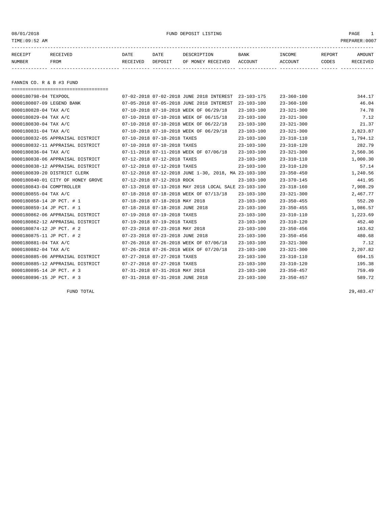08/01/2018 FUND DEPOSIT LISTING PAGE 1

| RECEIPT | RECEIVED | DATE     | DATE    | DESCRIPTION       | <b>BANK</b> | <b>INCOME</b> | <b>REPORT</b> | AMOUNT          |
|---------|----------|----------|---------|-------------------|-------------|---------------|---------------|-----------------|
| NUMBER  | FROM     | RECEIVED | DEPOSIT | OF MONEY RECEIVED | ACCOUNT     | ACCOUNT       | CODES         | <b>RECEIVED</b> |
|         |          |          |         |                   |             |               |               |                 |

FANNIN CO. R & B #3 FUND

| ====================================== |                                 |                                                      |                  |                  |          |
|----------------------------------------|---------------------------------|------------------------------------------------------|------------------|------------------|----------|
| 0000180798-04 TEXPOOL                  |                                 | 07-02-2018 07-02-2018 JUNE 2018 INTEREST             | $23 - 103 - 175$ | $23 - 360 - 100$ | 344.17   |
| 0000180807-09 LEGEND BANK              |                                 | 07-05-2018 07-05-2018 JUNE 2018 INTEREST             | $23 - 103 - 100$ | $23 - 360 - 100$ | 46.04    |
| 0000180828-04 TAX A/C                  |                                 | 07-10-2018 07-10-2018 WEEK OF 06/29/18               | $23 - 103 - 100$ | $23 - 321 - 300$ | 74.78    |
| 0000180829-04 TAX A/C                  |                                 | 07-10-2018 07-10-2018 WEEK OF 06/15/18               | $23 - 103 - 100$ | $23 - 321 - 300$ | 7.12     |
| 0000180830-04 TAX A/C                  |                                 | 07-10-2018 07-10-2018 WEEK OF 06/22/18               | $23 - 103 - 100$ | $23 - 321 - 300$ | 21.37    |
| 0000180831-04 TAX A/C                  |                                 | 07-10-2018 07-10-2018 WEEK OF 06/29/18               | $23 - 103 - 100$ | $23 - 321 - 300$ | 2,823.87 |
| 0000180832-05 APPRAISAL DISTRICT       | 07-10-2018 07-10-2018 TAXES     |                                                      | $23 - 103 - 100$ | $23 - 310 - 110$ | 1,794.12 |
| 0000180832-11 APPRAISAL DISTRICT       | 07-10-2018 07-10-2018 TAXES     |                                                      | $23 - 103 - 100$ | $23 - 310 - 120$ | 282.79   |
| 0000180836-04 TAX A/C                  |                                 | 07-11-2018 07-11-2018 WEEK OF 07/06/18               | $23 - 103 - 100$ | $23 - 321 - 300$ | 2,560.36 |
| 0000180838-06 APPRAISAL DISTRICT       | 07-12-2018 07-12-2018 TAXES     |                                                      | $23 - 103 - 100$ | $23 - 310 - 110$ | 1,000.30 |
| 0000180838-12 APPRAISAL DISTRICT       | 07-12-2018 07-12-2018 TAXES     |                                                      | $23 - 103 - 100$ | $23 - 310 - 120$ | 57.14    |
| 0000180839-20 DISTRICT CLERK           |                                 | 07-12-2018 07-12-2018 JUNE 1-30, 2018, MA 23-103-100 |                  | $23 - 350 - 450$ | 1,240.56 |
| 0000180840-01 CITY OF HONEY GROVE      | 07-12-2018 07-12-2018 ROCK      |                                                      | $23 - 103 - 100$ | $23 - 370 - 145$ | 441.95   |
| 0000180843-04 COMPTROLLER              |                                 | 07-13-2018 07-13-2018 MAY 2018 LOCAL SALE 23-103-100 |                  | $23 - 318 - 160$ | 7,908.29 |
| 0000180855-04 TAX A/C                  |                                 | 07-18-2018 07-18-2018 WEEK OF 07/13/18               | $23 - 103 - 100$ | $23 - 321 - 300$ | 2,467.77 |
| 0000180858-14 JP PCT. # 1              | 07-18-2018 07-18-2018 MAY 2018  |                                                      | $23 - 103 - 100$ | $23 - 350 - 455$ | 552.20   |
| 0000180859-14 JP PCT. # 1              | 07-18-2018 07-18-2018 JUNE 2018 |                                                      | $23 - 103 - 100$ | $23 - 350 - 455$ | 1,086.57 |
| 0000180862-06 APPRAISAL DISTRICT       | 07-19-2018 07-19-2018 TAXES     |                                                      | $23 - 103 - 100$ | $23 - 310 - 110$ | 1,223.69 |
| 0000180862-12 APPRAISAL DISTRICT       | 07-19-2018 07-19-2018 TAXES     |                                                      | $23 - 103 - 100$ | $23 - 310 - 120$ | 452.40   |
| 0000180874-12 JP PCT. # 2              | 07-23-2018 07-23-2018 MAY 2018  |                                                      | $23 - 103 - 100$ | $23 - 350 - 456$ | 163.62   |
| 0000180875-11 JP PCT. # 2              | 07-23-2018 07-23-2018 JUNE 2018 |                                                      | $23 - 103 - 100$ | $23 - 350 - 456$ | 480.68   |
| 0000180881-04 TAX A/C                  |                                 | 07-26-2018 07-26-2018 WEEK OF 07/06/18               | $23 - 103 - 100$ | $23 - 321 - 300$ | 7.12     |
| 0000180882-04 TAX A/C                  |                                 | 07-26-2018 07-26-2018 WEEK OF 07/20/18               | $23 - 103 - 100$ | $23 - 321 - 300$ | 2,207.82 |
| 0000180885-06 APPRAISAL DISTRICT       | 07-27-2018 07-27-2018 TAXES     |                                                      | $23 - 103 - 100$ | $23 - 310 - 110$ | 694.15   |
| 0000180885-12 APPRAISAL DISTRICT       | 07-27-2018 07-27-2018 TAXES     |                                                      | $23 - 103 - 100$ | $23 - 310 - 120$ | 195.38   |
| 0000180895-14 JP PCT. # 3              | 07-31-2018 07-31-2018 MAY 2018  |                                                      | $23 - 103 - 100$ | $23 - 350 - 457$ | 759.49   |
| 0000180896-15 JP PCT. # 3              | 07-31-2018 07-31-2018 JUNE 2018 |                                                      | $23 - 103 - 100$ | $23 - 350 - 457$ | 589.72   |

FUND TOTAL 29,483.47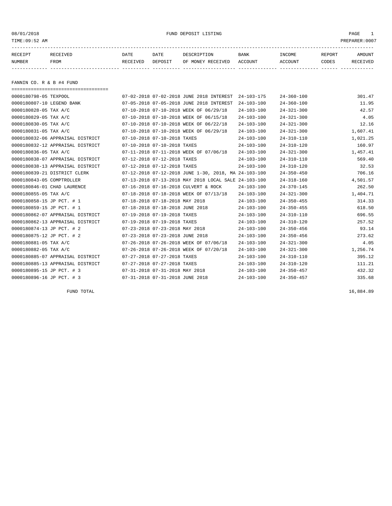08/01/2018 FUND DEPOSIT LISTING PAGE 1

| RECEIPT | RECEIVED | DATE     | DATE    | DESCRIPTION       | <b>BANK</b> | <b>INCOME</b> | REPORT | AMOUNT          |
|---------|----------|----------|---------|-------------------|-------------|---------------|--------|-----------------|
| NUMBER  | FROM     | RECEIVED | DEPOSIT | OF MONEY RECEIVED | ACCOUNT     | ACCOUNT       | CODES  | <b>RECEIVED</b> |
|         |          |          |         |                   |             |               |        |                 |

FANNIN CO. R & B #4 FUND

| ====================================== |                                 |                                                      |                  |                  |          |
|----------------------------------------|---------------------------------|------------------------------------------------------|------------------|------------------|----------|
| 0000180798-05 TEXPOOL                  |                                 | 07-02-2018 07-02-2018 JUNE 2018 INTEREST             | 24-103-175       | $24 - 360 - 100$ | 301.47   |
| 0000180807-10 LEGEND BANK              |                                 | 07-05-2018 07-05-2018 JUNE 2018 INTEREST             | $24 - 103 - 100$ | $24 - 360 - 100$ | 11.95    |
| 0000180828-05 TAX A/C                  |                                 | 07-10-2018 07-10-2018 WEEK OF 06/29/18               | $24 - 103 - 100$ | $24 - 321 - 300$ | 42.57    |
| 0000180829-05 TAX A/C                  |                                 | 07-10-2018 07-10-2018 WEEK OF 06/15/18               | $24 - 103 - 100$ | $24 - 321 - 300$ | 4.05     |
| 0000180830-05 TAX A/C                  |                                 | 07-10-2018 07-10-2018 WEEK OF 06/22/18               | $24 - 103 - 100$ | $24 - 321 - 300$ | 12.16    |
| 0000180831-05 TAX A/C                  |                                 | 07-10-2018 07-10-2018 WEEK OF 06/29/18               | $24 - 103 - 100$ | $24 - 321 - 300$ | 1,607.41 |
| 0000180832-06 APPRAISAL DISTRICT       | 07-10-2018 07-10-2018 TAXES     |                                                      | $24 - 103 - 100$ | $24 - 310 - 110$ | 1,021.25 |
| 0000180832-12 APPRAISAL DISTRICT       | 07-10-2018 07-10-2018 TAXES     |                                                      | $24 - 103 - 100$ | $24 - 310 - 120$ | 160.97   |
| 0000180836-05 TAX A/C                  |                                 | 07-11-2018 07-11-2018 WEEK OF 07/06/18               | $24 - 103 - 100$ | $24 - 321 - 300$ | 1,457.41 |
| 0000180838-07 APPRAISAL DISTRICT       | 07-12-2018 07-12-2018 TAXES     |                                                      | $24 - 103 - 100$ | $24 - 310 - 110$ | 569.40   |
| 0000180838-13 APPRAISAL DISTRICT       | 07-12-2018 07-12-2018 TAXES     |                                                      | $24 - 103 - 100$ | $24 - 310 - 120$ | 32.53    |
| 0000180839-21 DISTRICT CLERK           |                                 | 07-12-2018 07-12-2018 JUNE 1-30, 2018, MA 24-103-100 |                  | $24 - 350 - 450$ | 706.16   |
| 0000180843-05 COMPTROLLER              |                                 | 07-13-2018 07-13-2018 MAY 2018 LOCAL SALE 24-103-100 |                  | $24 - 318 - 160$ | 4,501.57 |
| 0000180846-01 CHAD LAURENCE            |                                 | 07-16-2018 07-16-2018 CULVERT & ROCK                 | $24 - 103 - 100$ | $24 - 370 - 145$ | 262.50   |
| 0000180855-05 TAX A/C                  |                                 | 07-18-2018 07-18-2018 WEEK OF 07/13/18               | $24 - 103 - 100$ | $24 - 321 - 300$ | 1,404.71 |
| 0000180858-15 JP PCT. # 1              | 07-18-2018 07-18-2018 MAY 2018  |                                                      | $24 - 103 - 100$ | $24 - 350 - 455$ | 314.33   |
| 0000180859-15 JP PCT. # 1              | 07-18-2018 07-18-2018 JUNE 2018 |                                                      | $24 - 103 - 100$ | $24 - 350 - 455$ | 618.50   |
| 0000180862-07 APPRAISAL DISTRICT       | 07-19-2018 07-19-2018 TAXES     |                                                      | 24-103-100       | $24 - 310 - 110$ | 696.55   |
| 0000180862-13 APPRAISAL DISTRICT       | 07-19-2018 07-19-2018 TAXES     |                                                      | $24 - 103 - 100$ | $24 - 310 - 120$ | 257.52   |
| 0000180874-13 JP PCT. # 2              | 07-23-2018 07-23-2018 MAY 2018  |                                                      | $24 - 103 - 100$ | $24 - 350 - 456$ | 93.14    |
| 0000180875-12 JP PCT. # 2              | 07-23-2018 07-23-2018 JUNE 2018 |                                                      | $24 - 103 - 100$ | $24 - 350 - 456$ | 273.62   |
| 0000180881-05 TAX A/C                  |                                 | 07-26-2018 07-26-2018 WEEK OF 07/06/18               | $24 - 103 - 100$ | $24 - 321 - 300$ | 4.05     |
| 0000180882-05 TAX A/C                  |                                 | 07-26-2018 07-26-2018 WEEK OF 07/20/18               | $24 - 103 - 100$ | $24 - 321 - 300$ | 1,256.74 |
| 0000180885-07 APPRAISAL DISTRICT       | 07-27-2018 07-27-2018 TAXES     |                                                      | $24 - 103 - 100$ | $24 - 310 - 110$ | 395.12   |
| 0000180885-13 APPRAISAL DISTRICT       | 07-27-2018 07-27-2018 TAXES     |                                                      | $24 - 103 - 100$ | $24 - 310 - 120$ | 111.21   |
| 0000180895-15 JP PCT. # 3              | 07-31-2018 07-31-2018 MAY 2018  |                                                      | $24 - 103 - 100$ | $24 - 350 - 457$ | 432.32   |
| 0000180896-16 JP PCT. # 3              | 07-31-2018 07-31-2018 JUNE 2018 |                                                      | $24 - 103 - 100$ | $24 - 350 - 457$ | 335.68   |

FUND TOTAL 16,884.89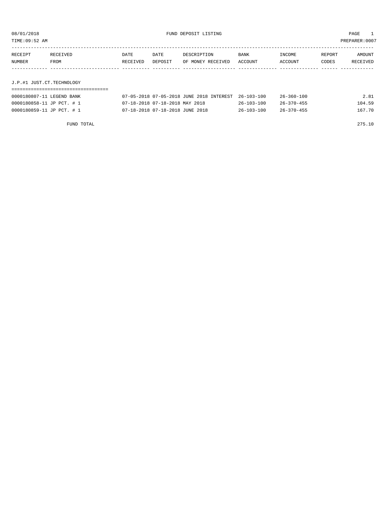TIME:09:52 AM PREPARER:0007

| RECEIPT                   | RECEIVED | DATE     | DATE    | DESCRIPTION       | BANK    | INCOME  | REPORT | AMOUNT   |
|---------------------------|----------|----------|---------|-------------------|---------|---------|--------|----------|
| NUMBER                    | FROM     | RECEIVED | DEPOSIT | OF MONEY RECEIVED | ACCOUNT | ACCOUNT | CODES  | RECEIVED |
|                           |          |          |         |                   |         |         |        |          |
|                           |          |          |         |                   |         |         |        |          |
| J.P.#1 JUST.CT.TECHNOLOGY |          |          |         |                   |         |         |        |          |
|                           |          |          |         |                   |         |         |        |          |

| 0000180807-11 LEGEND BANK | 07-05-2018 07-05-2018 JUNE 2018 INTEREST 26-103-100 |                  | $26 - 360 - 100$ | 2.81   |
|---------------------------|-----------------------------------------------------|------------------|------------------|--------|
| 0000180858-11 JP PCT. # 1 | 07-18-2018 07-18-2018 MAY 2018                      | $26 - 103 - 100$ | $26 - 370 - 455$ | 104.59 |
| 0000180859-11 JP PCT. # 1 | 07-18-2018 07-18-2018 JUNE 2018                     | $26 - 103 - 100$ | $26 - 370 - 455$ | 167.70 |

FUND TOTAL 275.10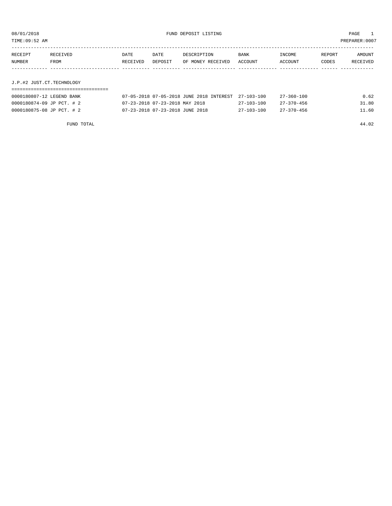TIME:09:52 AM PREPARER:0007

| RECEIPT | RECEIVED                  | DATE     | DATE    | DESCRIPTION       | BANK    | INCOME  | REPORT | AMOUNT   |
|---------|---------------------------|----------|---------|-------------------|---------|---------|--------|----------|
| NUMBER  | FROM                      | RECEIVED | DEPOSIT | OF MONEY RECEIVED | ACCOUNT | ACCOUNT | CODES  | RECEIVED |
|         |                           |          |         |                   |         |         |        |          |
|         |                           |          |         |                   |         |         |        |          |
|         | J.P.#2 JUST.CT.TECHNOLOGY |          |         |                   |         |         |        |          |

### ===================================

| 0000180807-12 LEGEND BANK | 07-05-2018 07-05-2018 JUNE 2018 INTEREST 27-103-100 |                  | $27 - 360 - 100$ | 0.62  |
|---------------------------|-----------------------------------------------------|------------------|------------------|-------|
| 0000180874-09 JP PCT. # 2 | 07-23-2018 07-23-2018 MAY 2018                      | $27 - 103 - 100$ | $27 - 370 - 456$ | 31.80 |
| 0000180875-08 JP PCT. # 2 | 07-23-2018 07-23-2018 JUNE 2018                     | $27 - 103 - 100$ | $27 - 370 - 456$ | 11.60 |

FUND TOTAL 44.02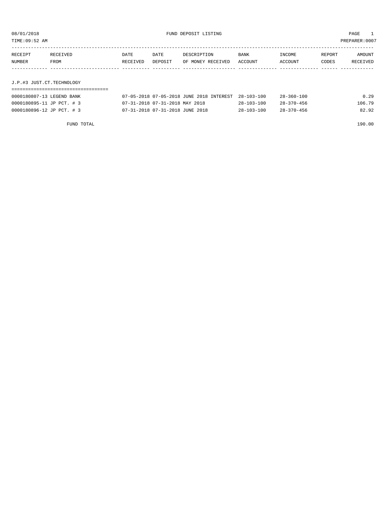TIME:09:52 AM PREPARER:0007

| RECEIPT                   | RECEIVED | DATE     | DATE    | DESCRIPTION       | <b>BANK</b> | INCOME  | REPORT | AMOUNT   |
|---------------------------|----------|----------|---------|-------------------|-------------|---------|--------|----------|
| NUMBER                    | FROM     | RECEIVED | DEPOSIT | OF MONEY RECEIVED | ACCOUNT     | ACCOUNT | CODES  | RECEIVED |
|                           |          |          |         |                   |             |         |        |          |
|                           |          |          |         |                   |             |         |        |          |
| J.P.#3 JUST.CT.TECHNOLOGY |          |          |         |                   |             |         |        |          |

### ===================================

| 0000180807-13 LEGEND BANK | 07-05-2018 07-05-2018 JUNE 2018 INTEREST 28-103-100 |                  | $28 - 360 - 100$ | 0.29   |
|---------------------------|-----------------------------------------------------|------------------|------------------|--------|
| 0000180895-11 JP PCT. # 3 | 07-31-2018 07-31-2018 MAY 2018                      | $28 - 103 - 100$ | $28 - 370 - 456$ | 106.79 |
| 0000180896-12 JP PCT. # 3 | 07-31-2018 07-31-2018 JUNE 2018                     | $28 - 103 - 100$ | $28 - 370 - 456$ | 82.92  |

FUND TOTAL 190.00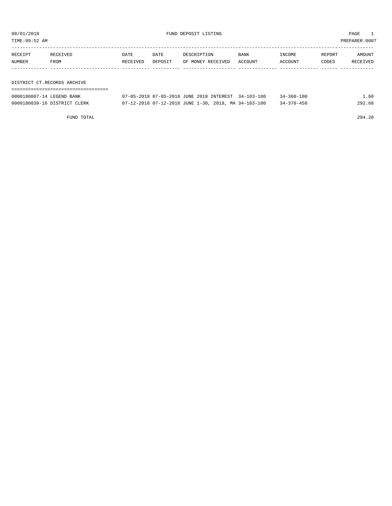TIME:09:52 AM PREPARER:0007

| RECEIPT | <b>RECEIVED</b> | DATE     | DATE    | DESCRIPTION       | <b>BANK</b> | INCOME  | REPORT | AMOUNT   |
|---------|-----------------|----------|---------|-------------------|-------------|---------|--------|----------|
| NUMBER  | FROM            | RECEIVED | DEPOSIT | OF MONEY RECEIVED | ACCOUNT     | ACCOUNT | CODES  | RECEIVED |
|         |                 |          |         |                   |             |         |        |          |

DISTRICT CT.RECORDS ARCHIVE

| 0000180807-14 LEGEND BANK    | 07-05-2018 07-05-2018 JUNE 2018 INTEREST 34-103-100  |  | $34 - 360 - 100$ | L. 60  |
|------------------------------|------------------------------------------------------|--|------------------|--------|
| 0000180839-16 DISTRICT CLERK | 07-12-2018 07-12-2018 JUNE 1-30, 2018, MA 34-103-100 |  | $34 - 370 - 450$ | 292.68 |

FUND TOTAL 294.28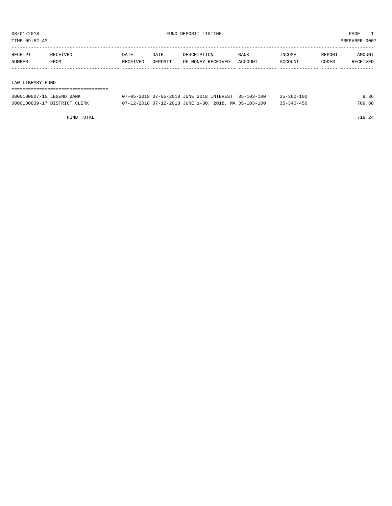TIME:09:52 AM PREPARER:0007

| RECEIPT | <b>RECEIVED</b> | DATE     | DATE    | DESCRIPTION       | <b>BANK</b> | <b>TNCOME</b> | REPORT | AMOUNT          |
|---------|-----------------|----------|---------|-------------------|-------------|---------------|--------|-----------------|
| NUMBER  | FROM            | RECEIVED | DEPOSIT | OF MONEY RECEIVED | ACCOUNT     | ACCOUNT       | CODES  | <b>RECEIVED</b> |
|         |                 |          |         |                   |             |               |        |                 |

#### LAW LIBRARY FUND

| ================================= |                                                      |  |                  |        |
|-----------------------------------|------------------------------------------------------|--|------------------|--------|
| 0000180807-15 LEGEND BANK         | 07-05-2018 07-05-2018 JUNE 2018 INTEREST 35-103-100  |  | $35 - 360 - 100$ | 9.36   |
| 0000180839-17 DISTRICT CLERK      | 07-12-2018 07-12-2018 JUNE 1-30, 2018, MA 35-103-100 |  | $35 - 340 - 450$ | 709.88 |

FUND TOTAL 719.24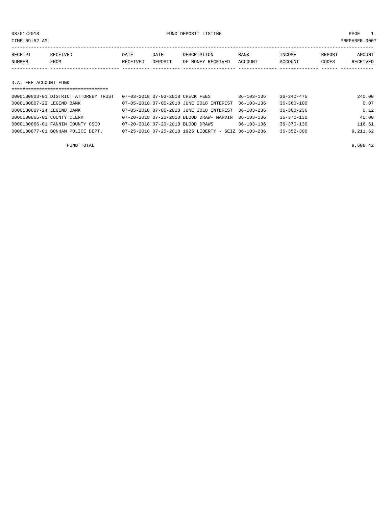08/01/2018 FUND DEPOSIT LISTING PAGE 1

| RECEIPT | RECEIVED | DATE     | DATE    | DESCRIPTION       | BANK    | INCOME  | REPORT | <b>AMOUNT</b> |
|---------|----------|----------|---------|-------------------|---------|---------|--------|---------------|
| NUMBER  | FROM     | RECEIVED | DEPOSIT | OF MONEY RECEIVED | ACCOUNT | ACCOUNT | CODES  | RECEIVED      |
|         |          |          |         |                   |         |         |        |               |
|         |          |          |         |                   |         |         |        |               |

#### D.A. FEE ACCOUNT FUND

| ------------------------------------  |                                                      |                  |                  |          |
|---------------------------------------|------------------------------------------------------|------------------|------------------|----------|
| 0000180803-01 DISTRICT ATTORNEY TRUST | 07-03-2018 07-03-2018 CHECK FEES                     | $36 - 103 - 136$ | $36 - 340 - 475$ | 240.00   |
| 0000180807-23 LEGEND BANK             | 07-05-2018 07-05-2018 JUNE 2018 INTEREST             | $36 - 103 - 136$ | $36 - 360 - 100$ | 0.07     |
| 0000180807-24 LEGEND BANK             | 07-05-2018 07-05-2018 JUNE 2018 INTEREST             | $36 - 103 - 236$ | $36 - 360 - 236$ | 0.12     |
| 0000180865-01 COUNTY CLERK            | 07-20-2018 07-20-2018 BLOOD DRAW- MARVIN             | $36 - 103 - 136$ | $36 - 370 - 130$ | 40.00    |
| 0000180866-01 FANNIN COUNTY CSCD      | 07-20-2018 07-20-2018 BLOOD DRAWS                    | $36 - 103 - 136$ | $36 - 370 - 130$ | 116.61   |
| 0000180877-01 BONHAM POLICE DEPT.     | 07-25-2018 07-25-2018 1925 LIBERTY - SEIZ 36-103-236 |                  | $36 - 352 - 300$ | 9,211.62 |
|                                       |                                                      |                  |                  |          |

FUND TOTAL  $\qquad \qquad \qquad \qquad 9,608.42$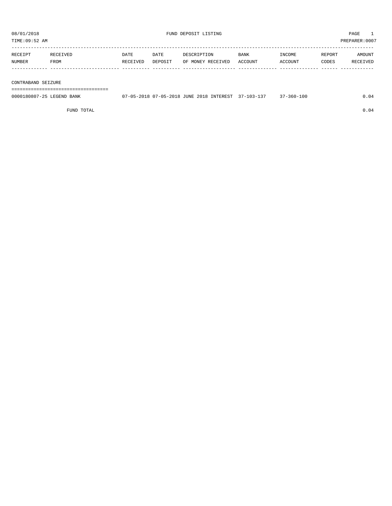TIME:09:52 AM PREPARER:0007 ----------------------------------------------------------------------------------------------------------------------------------- RECEIPT RECEIVED DATE DATE DESCRIPTION BANK INCOME REPORT AMOUNT

| NUMBER | FROM | DEPOSIT | VED:<br>M∩NFV<br>ロロヘロ<br>ΟF | ACCOUNT | ACCOUNT | CODES |  |
|--------|------|---------|-----------------------------|---------|---------|-------|--|
|        |      |         |                             |         |         |       |  |

#### CONTRABAND SEIZURE

===================================

| 0000180807-25 LEGEND BANK | 07-05-2018 07-05-2018 JUNE 2018 INTEREST 37-103-137 | 37-360-100 |  |
|---------------------------|-----------------------------------------------------|------------|--|
|                           |                                                     |            |  |

FUND TOTAL  $0.04$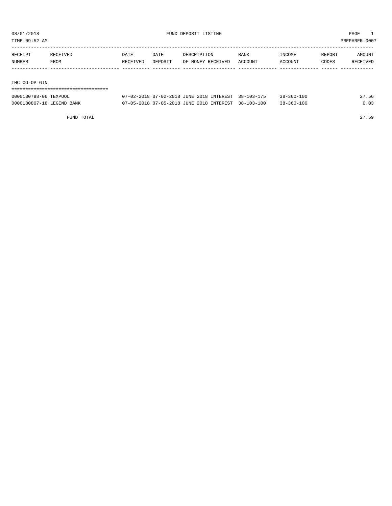TIME:09:52 AM PREPARER:0007

| RECEIPT | RECEIVED | DATE     | DATE    | DESCRIPTION       | <b>BANK</b> | INCOME  | REPORT | AMOUNT   |
|---------|----------|----------|---------|-------------------|-------------|---------|--------|----------|
| NUMBER  | FROM     | RECEIVED | DEPOSIT | OF MONEY RECEIVED | ACCOUNT     | ACCOUNT | CODES  | RECEIVED |
|         |          |          |         |                   |             |         |        |          |
|         |          |          |         |                   |             |         |        |          |

#### IHC CO-OP GIN

| ---------------------------- |                                                     |                  |       |
|------------------------------|-----------------------------------------------------|------------------|-------|
| 0000180798-06 TEXPOOL        | 07-02-2018 07-02-2018 JUNE 2018 INTEREST 38-103-175 | 38-360-100       | 27.56 |
| 0000180807-16 LEGEND BANK    | 07-05-2018 07-05-2018 JUNE 2018 INTEREST 38-103-100 | $38 - 360 - 100$ | 0.03  |

FUND TOTAL 27.59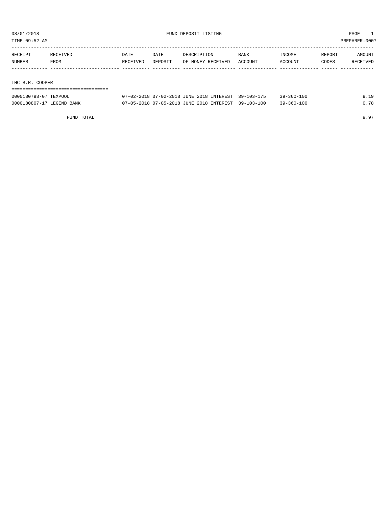TIME:09:52 AM PREPARER:0007

| RECEIPT         | RECEIVED | DATE     | DATE    | DESCRIPTION       | <b>BANK</b> | INCOME  | REPORT | AMOUNT   |  |  |
|-----------------|----------|----------|---------|-------------------|-------------|---------|--------|----------|--|--|
| NUMBER          | FROM     | RECEIVED | DEPOSIT | OF MONEY RECEIVED | ACCOUNT     | ACCOUNT | CODES  | RECEIVED |  |  |
|                 |          |          |         |                   |             |         |        |          |  |  |
|                 |          |          |         |                   |             |         |        |          |  |  |
| IHC B.R. COOPER |          |          |         |                   |             |         |        |          |  |  |
|                 |          |          |         |                   |             |         |        |          |  |  |

| 0000180798-07 TEXPOOL     | 07-02-2018 07-02-2018 JUNE 2018 INTEREST 39-103-175 | $39 - 360 - 100$ | 1 Q  |
|---------------------------|-----------------------------------------------------|------------------|------|
| 0000180807-17 LEGEND BANK | 07-05-2018 07-05-2018 JUNE 2018 INTEREST 39-103-100 | $39 - 360 - 100$ | 0.78 |

FUND TOTAL 9.97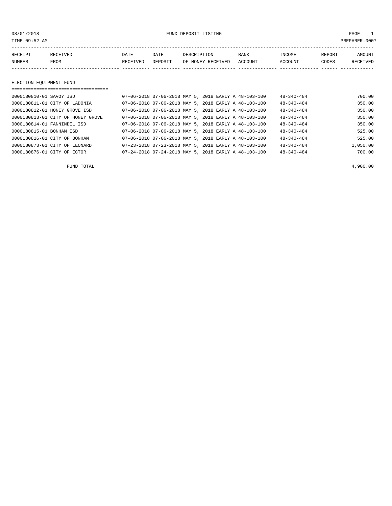08/01/2018 FUND DEPOSIT LISTING PAGE 1

| RECEIPT | <b>RECEIVED</b> | DATE     | DATE    | DESCRIPTION       | <b>BANK</b> | INCOME  | REPORT | <b>AMOUNT</b>   |
|---------|-----------------|----------|---------|-------------------|-------------|---------|--------|-----------------|
| NUMBER  | <b>FROM</b>     | RECEIVED | DEPOSIT | OF MONEY RECEIVED | ACCOUNT     | ACCOUNT | CODES  | <b>RECEIVED</b> |
|         |                 |          |         |                   |             |         |        |                 |

#### ELECTION EQUIPMENT FUND

| 0000180810-01 SAVOY ISD  |                                   |  |  | 07-06-2018 07-06-2018 MAY 5, 2018 EARLY A 48-103-100 | $48 - 340 - 484$ | 700.00   |
|--------------------------|-----------------------------------|--|--|------------------------------------------------------|------------------|----------|
|                          | 0000180811-01 CITY OF LADONIA     |  |  | 07-06-2018 07-06-2018 MAY 5, 2018 EARLY A 48-103-100 | $48 - 340 - 484$ | 350.00   |
|                          | 0000180812-01 HONEY GROVE ISD     |  |  | 07-06-2018 07-06-2018 MAY 5, 2018 EARLY A 48-103-100 | $48 - 340 - 484$ | 350.00   |
|                          | 0000180813-01 CITY OF HONEY GROVE |  |  | 07-06-2018 07-06-2018 MAY 5, 2018 EARLY A 48-103-100 | $48 - 340 - 484$ | 350.00   |
|                          | 0000180814-01 FANNINDEL ISD       |  |  | 07-06-2018 07-06-2018 MAY 5, 2018 EARLY A 48-103-100 | $48 - 340 - 484$ | 350.00   |
| 0000180815-01 BONHAM ISD |                                   |  |  | 07-06-2018 07-06-2018 MAY 5, 2018 EARLY A 48-103-100 | $48 - 340 - 484$ | 525.00   |
|                          | 0000180816-01 CITY OF BONHAM      |  |  | 07-06-2018 07-06-2018 MAY 5, 2018 EARLY A 48-103-100 | $48 - 340 - 484$ | 525.00   |
|                          | 0000180873-01 CITY OF LEONARD     |  |  | 07-23-2018 07-23-2018 MAY 5, 2018 EARLY A 48-103-100 | $48 - 340 - 484$ | 1,050.00 |
|                          | 0000180876-01 CITY OF ECTOR       |  |  | 07-24-2018 07-24-2018 MAY 5, 2018 EARLY A 48-103-100 | $48 - 340 - 484$ | 700.00   |

FUND TOTAL  $4,900.00$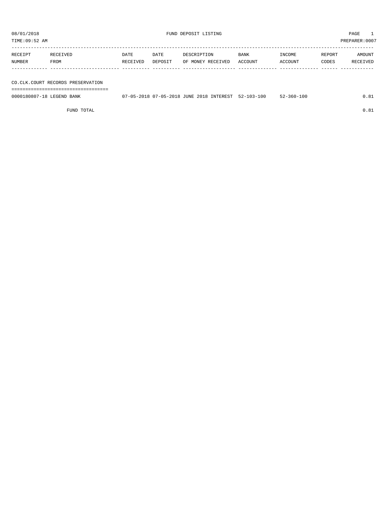TIME:09:52 AM PREPARER:0007

| RECEIPT | RECEIVED | DATE     | DATE    | DESCRIPTION       | <b>BANK</b> | INCOME  | REPORT | AMOUNT   |
|---------|----------|----------|---------|-------------------|-------------|---------|--------|----------|
| NUMBER  | FROM     | RECEIVED | DEPOSIT | OF MONEY RECEIVED | ACCOUNT     | ACCOUNT | CODES  | RECEIVED |
|         |          |          |         |                   |             |         |        |          |
|         |          |          |         |                   |             |         |        |          |

### CO.CLK.COURT RECORDS PRESERVATION

===================================

0000180807-18 LEGEND BANK 07-05-2018 07-05-2018 JUNE 2018 INTEREST 52-103-100 52-360-100 0.81

FUND TOTAL  $0.81$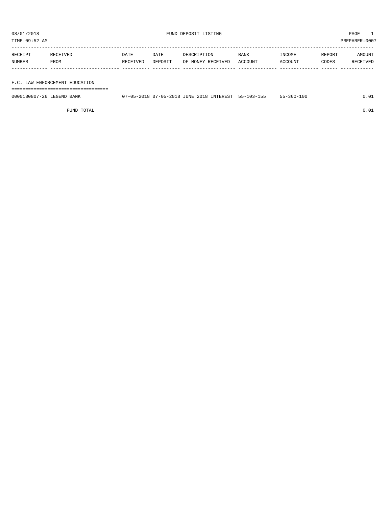TIME:09:52 AM PREPARER:0007

| RECEIPT | RECEIVED | DATE     | DATE    | DESCRIPTION       | <b>BANK</b> | <b>TNCOME</b> | REPORT | AMOUNT          |
|---------|----------|----------|---------|-------------------|-------------|---------------|--------|-----------------|
| NUMBER  | FROM     | RECEIVED | DEPOSIT | OF MONEY RECEIVED | ACCOUNT     | ACCOUNT       | CODES  | <b>RECEIVED</b> |
|         |          |          |         |                   |             |               |        |                 |

#### F.C. LAW ENFORCEMENT EDUCATION

===================================

| 0000180807-26 LEGEND BANK | 07-05-2018 07-05-2018 JUNE 2018 INTEREST 55-103-155 |  |  | $55 - 360 - 100$ |  |
|---------------------------|-----------------------------------------------------|--|--|------------------|--|
|                           |                                                     |  |  |                  |  |

FUND TOTAL  $0.01$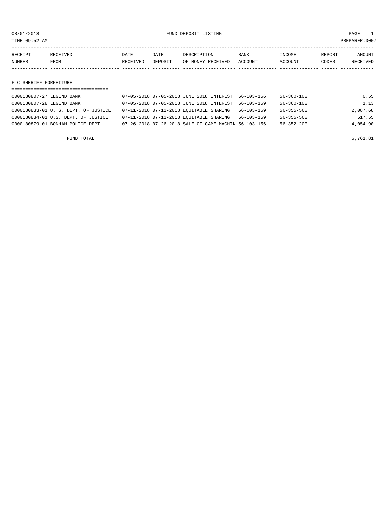TIME:09:52 AM PREPARER:0007

| RECEIPT | <b>RECEIVED</b> | DATE     | DATE    | DESCRIPTION       | <b>BANK</b> | INCOME  | REPORT | AMOUNT          |
|---------|-----------------|----------|---------|-------------------|-------------|---------|--------|-----------------|
| NUMBER  | <b>FROM</b>     | RECEIVED | DEPOSIT | OF MONEY RECEIVED | ACCOUNT     | ACCOUNT | CODES  | <b>RECEIVED</b> |
|         |                 |          |         |                   |             |         |        |                 |

#### F C SHERIFF FORFEITURE

| ------------------------------------ |                                                      |                  |                  |          |
|--------------------------------------|------------------------------------------------------|------------------|------------------|----------|
| 0000180807-27 LEGEND BANK            | 07-05-2018 07-05-2018 JUNE 2018 INTEREST 56-103-156  |                  | $56 - 360 - 100$ | 0.55     |
| 0000180807-28 LEGEND BANK            | 07-05-2018 07-05-2018 JUNE 2018 INTEREST             | $56 - 103 - 159$ | $56 - 360 - 100$ | 1.13     |
| 0000180833-01 U.S. DEPT. OF JUSTICE  | 07-11-2018 07-11-2018 EQUITABLE SHARING              | 56-103-159       | $56 - 355 - 560$ | 2,087.68 |
| 0000180834-01 U.S. DEPT. OF JUSTICE  | 07-11-2018 07-11-2018 EQUITABLE SHARING              | $56 - 103 - 159$ | $56 - 355 - 560$ | 617.55   |
| 0000180879-01 BONHAM POLICE DEPT.    | 07-26-2018 07-26-2018 SALE OF GAME MACHIN 56-103-156 |                  | $56 - 352 - 200$ | 4,054.90 |
|                                      |                                                      |                  |                  |          |

FUND TOTAL  $6,761.81$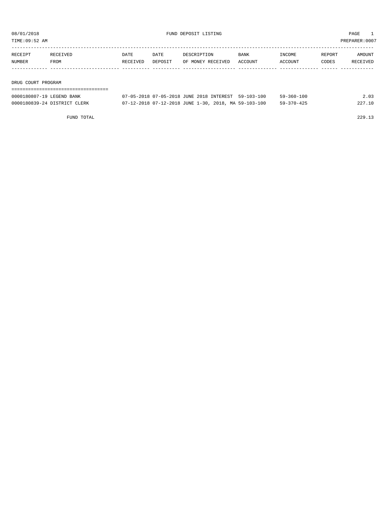TIME:09:52 AM PREPARER:0007

| RECEIPT | <b>RECEIVED</b> | DATE     | DATE    | DESCRIPTION       | <b>BANK</b> | INCOME  | REPORT | AMOUNT   |
|---------|-----------------|----------|---------|-------------------|-------------|---------|--------|----------|
| NUMBER  | FROM            | RECEIVED | DEPOSIT | OF MONEY RECEIVED | ACCOUNT     | ACCOUNT | CODES  | RECEIVED |
|         |                 |          |         |                   |             |         |        |          |
|         |                 |          |         |                   |             |         |        |          |

DRUG COURT PROGRAM

| ------------------------------------- |
|---------------------------------------|
| ------------------------------------- |
|                                       |
|                                       |
|                                       |
|                                       |

| 0000180807-19 LEGEND BANK    | 07-05-2018 07-05-2018 JUNE 2018 INTEREST 59-103-100  | 59-360-100       | 2.03   |
|------------------------------|------------------------------------------------------|------------------|--------|
| 0000180839-24 DISTRICT CLERK | 07-12-2018 07-12-2018 JUNE 1-30, 2018, MA 59-103-100 | $59 - 370 - 425$ | 227.10 |

FUND TOTAL 229.13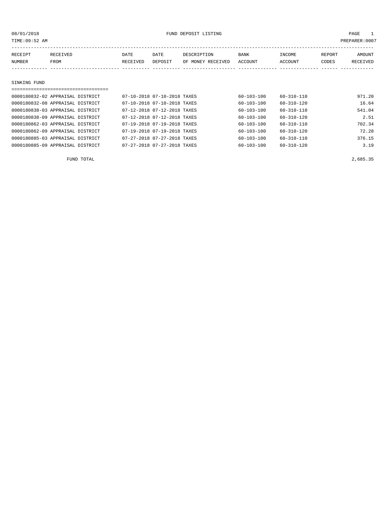| 08/01/2018                       |          |                                      |          |                             | FUND DEPOSIT LISTING |                  |                  |        |                |
|----------------------------------|----------|--------------------------------------|----------|-----------------------------|----------------------|------------------|------------------|--------|----------------|
| TIME:09:52 AM                    |          |                                      |          |                             |                      |                  |                  |        | PREPARER: 0007 |
|                                  |          |                                      |          |                             |                      |                  |                  |        |                |
| RECEIPT                          | RECEIVED |                                      | DATE     | DATE                        | DESCRIPTION          | BANK             | INCOME           | REPORT | AMOUNT         |
| NUMBER                           | FROM     |                                      | RECEIVED | DEPOSIT                     | OF MONEY RECEIVED    | ACCOUNT          | ACCOUNT          | CODES  | RECEIVED       |
|                                  |          |                                      |          |                             |                      |                  |                  |        |                |
|                                  |          |                                      |          |                             |                      |                  |                  |        |                |
| SINKING FUND                     |          |                                      |          |                             |                      |                  |                  |        |                |
|                                  |          | ,,,,,,,,,,,,,,,,,,,,,,,,,,,,,,,,,,,, |          |                             |                      |                  |                  |        |                |
| 0000180832-02 APPRAISAL DISTRICT |          |                                      |          | 07-10-2018 07-10-2018 TAXES |                      | $60 - 103 - 100$ | $60 - 310 - 110$ |        | 971.20         |
| 0000180832-08 APPRAISAL DISTRICT |          |                                      |          | 07-10-2018 07-10-2018 TAXES |                      | 60-103-100       | 60-310-120       |        | 16.64          |
| 0000180838-03 APPRAISAL DISTRICT |          |                                      |          | 07-12-2018 07-12-2018 TAXES |                      | $60 - 103 - 100$ | $60 - 310 - 110$ |        | 541.04         |
| 0000180838-09 APPRAISAL DISTRICT |          |                                      |          | 07-12-2018 07-12-2018 TAXES |                      | 60-103-100       | 60-310-120       |        | 2.51           |

0000180862-03 APPRAISAL DISTRICT 07-19-2018 07-19-2018 TAXES 60-103-100 60-310-110 702.34 0000180862-09 APPRAISAL DISTRICT 07-19-2018 07-19-2018 TAXES 60-103-100 60-310-120 72.28 0000180885-03 APPRAISAL DISTRICT 07-27-2018 07-27-2018 TAXES 60-103-100 60-310-110 376.15 0000180885-09 APPRAISAL DISTRICT 07-27-2018 07-27-2018 TAXES 60-103-100 60-310-120 3.19

| FUND TOTAL | 2,685.35 |
|------------|----------|
|            |          |
|            |          |
|            |          |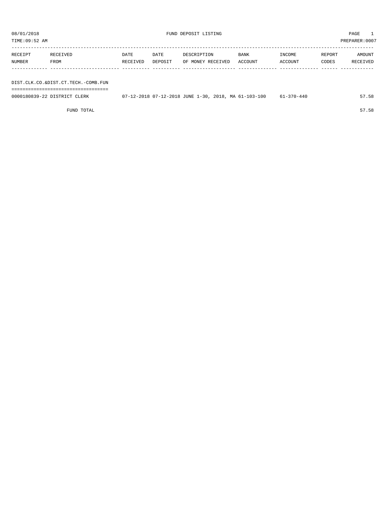| RECEIPT | RECEIVED | DATE     | DATE    | DESCRIPTION       | <b>BANK</b> | INCOME  | REPORT | AMOUNT   |
|---------|----------|----------|---------|-------------------|-------------|---------|--------|----------|
| NUMBER  | FROM     | RECEIVED | DEPOSIT | OF MONEY RECEIVED | ACCOUNT     | ACCOUNT | CODES  | RECEIVED |
|         |          |          |         |                   |             |         |        |          |

DIST.CLK.CO.&DIST.CT.TECH.-COMB.FUN

===================================

0000180839-22 DISTRICT CLERK 07-12-2018 07-12-2018 JUNE 1-30, 2018, MA 61-103-100 61-370-440 57.58

FUND TOTAL 57.58

TIME:09:52 AM PREPARER:0007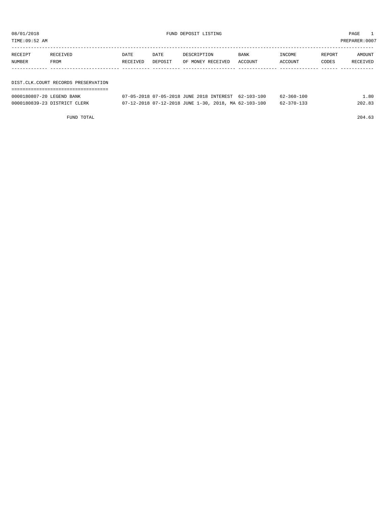TIME:09:52 AM PREPARER:0007

| RECEIPT | RECEIVED                            | DATE     | DATE    | DESCRIPTION       | <b>BANK</b> | INCOME  | REPORT | AMOUNT   |  |
|---------|-------------------------------------|----------|---------|-------------------|-------------|---------|--------|----------|--|
| NUMBER  | FROM                                | RECEIVED | DEPOSIT | OF MONEY RECEIVED | ACCOUNT     | ACCOUNT | CODES  | RECEIVED |  |
|         |                                     |          |         |                   |             |         |        |          |  |
|         |                                     |          |         |                   |             |         |        |          |  |
|         | DIST.CLK.COURT RECORDS PRESERVATION |          |         |                   |             |         |        |          |  |

===================================

| 0000180807-20 LEGEND BANK    | 07-05-2018 07-05-2018 JUNE 2018 INTEREST 62-103-100  |  | $62 - 360 - 100$ | L.80   |
|------------------------------|------------------------------------------------------|--|------------------|--------|
| 0000180839-23 DISTRICT CLERK | 07-12-2018 07-12-2018 JUNE 1-30, 2018, MA 62-103-100 |  | 62-370-133       | 202.83 |

FUND TOTAL 204.63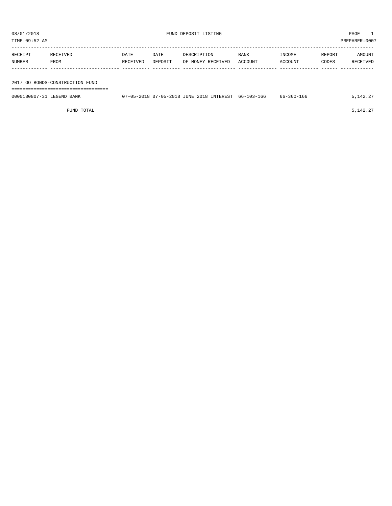| PREPARER: 0007<br>TIME:09:52 AM |                                 |          |         |                                                     |             |            |        |          |  |
|---------------------------------|---------------------------------|----------|---------|-----------------------------------------------------|-------------|------------|--------|----------|--|
|                                 |                                 |          |         |                                                     |             |            |        |          |  |
| RECEIPT                         | RECEIVED                        | DATE     | DATE    | DESCRIPTION                                         | <b>BANK</b> | INCOME     | REPORT | AMOUNT   |  |
| NUMBER                          | FROM                            | RECEIVED | DEPOSIT | OF MONEY RECEIVED                                   | ACCOUNT     | ACCOUNT    | CODES  | RECEIVED |  |
|                                 |                                 |          |         |                                                     |             |            |        |          |  |
|                                 |                                 |          |         |                                                     |             |            |        |          |  |
|                                 | 2017 GO BONDS-CONSTRUCTION FUND |          |         |                                                     |             |            |        |          |  |
|                                 |                                 |          |         |                                                     |             |            |        |          |  |
| 0000180807-31 LEGEND BANK       |                                 |          |         | 07-05-2018 07-05-2018 JUNE 2018 INTEREST 66-103-166 |             | 66-360-166 |        | 5,142.27 |  |

FUND TOTAL  $5,142.27$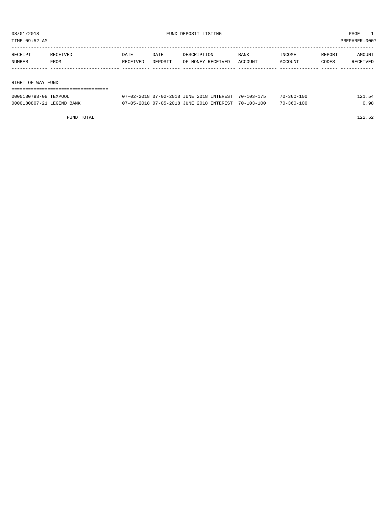TIME:09:52 AM PREPARER:0007

| RECEIPT | RECEIVED          | DATE     | DATE    | DESCRIPTION       | <b>BANK</b> | INCOME  | REPORT | AMOUNT   |  |
|---------|-------------------|----------|---------|-------------------|-------------|---------|--------|----------|--|
| NUMBER  | FROM              | RECEIVED | DEPOSIT | OF MONEY RECEIVED | ACCOUNT     | ACCOUNT | CODES  | RECEIVED |  |
|         |                   |          |         |                   |             |         |        |          |  |
|         |                   |          |         |                   |             |         |        |          |  |
|         | RIGHT OF WAY FUND |          |         |                   |             |         |        |          |  |

| 0000180798-08 TEXPOOL     | 07-02-2018 07-02-2018 JUNE 2018 INTEREST 70-103-175 | 70-360-100       | 121.54 |
|---------------------------|-----------------------------------------------------|------------------|--------|
| 0000180807-21 LEGEND BANK | 07-05-2018 07-05-2018 JUNE 2018 INTEREST 70-103-100 | $70 - 360 - 100$ | 0.98   |

FUND TOTAL 122.52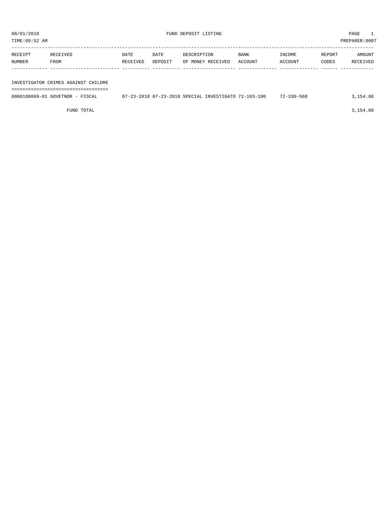| TIME:09:52 AM |         |             |             |      |             |        |        | PREPARER: 0007 |
|---------------|---------|-------------|-------------|------|-------------|--------|--------|----------------|
|               |         |             |             |      |             |        |        |                |
| RECEIPT       | י דו כו | <b>DATE</b> | <b>DATE</b> | TION | <b>BANK</b> | INCOME | REPORT | AMOUNT         |

| RECEIPT | RECEIVED                            | DATE     | DATE    | DESCRIPTION       | BANK    | INCOME  | REPORT | AMOUNT   |
|---------|-------------------------------------|----------|---------|-------------------|---------|---------|--------|----------|
| NUMBER  | FROM                                | RECEIVED | DEPOSIT | OF MONEY RECEIVED | ACCOUNT | ACCOUNT | CODES  | RECEIVED |
|         |                                     |          |         |                   |         |         |        |          |
|         | INVESTIGATOR CRIMES AGAINST CHILDRE |          |         |                   |         |         |        |          |

| 0000180869-01 GOVETNOR - FISCAL | 07-23-2018 07-23-2018 SPECIAL INVESTIGATO 72-103-100 | $72 - 330 - 560$ | .154.68 |
|---------------------------------|------------------------------------------------------|------------------|---------|
|                                 |                                                      |                  |         |

FUND TOTAL 3,154.68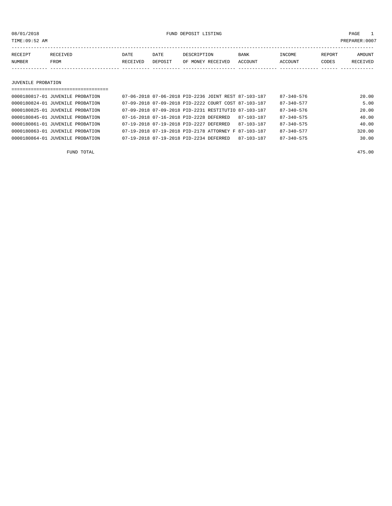08/01/2018 FUND DEPOSIT LISTING PAGE 1

| RECEIPT | <b>RECEIVED</b> | DATE     | DATE    | DESCRIPTION       | <b>BANK</b> | INCOME  | <b>REPORT</b> | AMOUNT          |
|---------|-----------------|----------|---------|-------------------|-------------|---------|---------------|-----------------|
| NUMBER  | FROM            | RECEIVED | DEPOSIT | OF MONEY RECEIVED | ACCOUNT     | ACCOUNT | CODES         | <b>RECEIVED</b> |
|         |                 |          |         |                   |             |         |               |                 |

#### JUVENILE PROBATION

| ================================== |                                                      |            |                  |        |
|------------------------------------|------------------------------------------------------|------------|------------------|--------|
| 0000180817-01 JUVENILE PROBATION   | 07-06-2018 07-06-2018 PID-2236 JOINT REST 87-103-187 |            | $87 - 340 - 576$ | 20.00  |
| 0000180824-01 JUVENILE PROBATION   | 07-09-2018 07-09-2018 PID-2222 COURT COST 87-103-187 |            | $87 - 340 - 577$ | 5.00   |
| 0000180825-01 JUVENILE PROBATION   | 07-09-2018 07-09-2018 PID-2231 RESTITUTIO 87-103-187 |            | $87 - 340 - 576$ | 20.00  |
| 0000180845-01 JUVENILE PROBATION   | 07-16-2018 07-16-2018 PID-2228 DEFERRED              | 87-103-187 | $87 - 340 - 575$ | 40.00  |
| 0000180861-01 JUVENILE PROBATION   | 07-19-2018 07-19-2018 PID-2227 DEFERRED              | 87-103-187 | $87 - 340 - 575$ | 40.00  |
| 0000180863-01 JUVENILE PROBATION   | 07-19-2018 07-19-2018 PID-2178 ATTORNEY F 87-103-187 |            | $87 - 340 - 577$ | 320.00 |
| 0000180864-01 JUVENILE PROBATION   | 07-19-2018 07-19-2018 PID-2234 DEFERRED              | 87-103-187 | $87 - 340 - 575$ | 30.00  |
|                                    |                                                      |            |                  |        |

FUND TOTAL 475.00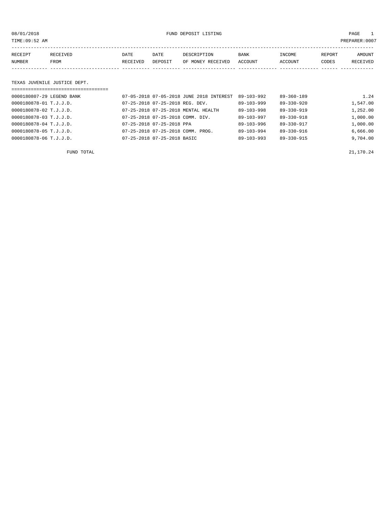08/01/2018 FUND DEPOSIT LISTING PAGE 1

| RECEIPT | RECEIVED | DATE     | DATE    | DESCRIPTION       | <b>BANK</b> | INCOME  | REPORT | AMOUNT          |
|---------|----------|----------|---------|-------------------|-------------|---------|--------|-----------------|
| NUMBER  | FROM     | RECEIVED | DEPOSIT | OF MONEY RECEIVED | ACCOUNT     | ACCOUNT | CODES  | <b>RECEIVED</b> |
|         |          |          |         |                   |             |         |        |                 |

#### TEXAS JUVENILE JUSTICE DEPT.

| =================================== |                                          |                  |                  |          |
|-------------------------------------|------------------------------------------|------------------|------------------|----------|
| 0000180807-29 LEGEND BANK           | 07-05-2018 07-05-2018 JUNE 2018 INTEREST | 89-103-992       | $89 - 360 - 189$ | 1.24     |
| 0000180878-01 T.J.J.D.              | 07-25-2018 07-25-2018 REG. DEV.          | $89 - 103 - 999$ | $89 - 330 - 920$ | 1,547.00 |
| 0000180878-02 T.J.J.D.              | 07-25-2018 07-25-2018 MENTAL HEALTH      | $89 - 103 - 998$ | $89 - 330 - 919$ | 1,252.00 |
| 0000180878-03 T.J.J.D.              | 07-25-2018 07-25-2018 COMM. DIV.         | $89 - 103 - 997$ | $89 - 330 - 918$ | 1,000.00 |
| 0000180878-04 T.J.J.D.              | 07-25-2018 07-25-2018 PPA                | $89 - 103 - 996$ | 89-330-917       | 1,000.00 |
| 0000180878-05 T.J.J.D.              | 07-25-2018 07-25-2018 COMM. PROG.        | $89 - 103 - 994$ | 89-330-916       | 6,666.00 |
| 0000180878-06 T.J.J.D.              | 07-25-2018 07-25-2018 BASIC              | $89 - 103 - 993$ | 89-330-915       | 9,704.00 |

FUND TOTAL  $21,170.24$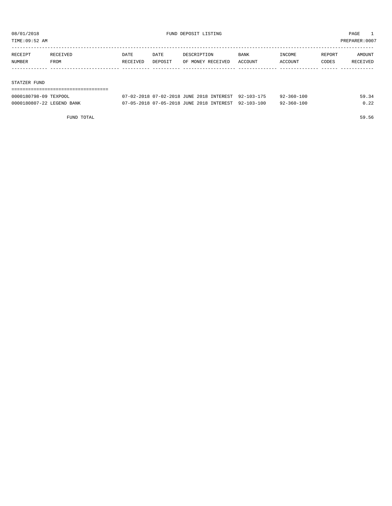TIME:09:52 AM PREPARER:0007

| RECEIPT | RECEIVED | DATE     | DATE    | DESCRIPTION       | BANK    | INCOME  | REPORT | AMOUNT   |
|---------|----------|----------|---------|-------------------|---------|---------|--------|----------|
| NUMBER  | FROM     | RECEIVED | DEPOSIT | OF MONEY RECEIVED | ACCOUNT | ACCOUNT | CODES  | RECEIVED |
|         |          |          |         |                   |         |         |        |          |
|         |          |          |         |                   |         |         |        |          |

#### STATZER FUND

| 0000180798-09 TEXPOOL     | 07-02-2018 07-02-2018 JUNE 2018 INTEREST 92-103-175 | $92 - 360 - 100$ | 59.34 |
|---------------------------|-----------------------------------------------------|------------------|-------|
| 0000180807-22 LEGEND BANK | 07-05-2018 07-05-2018 JUNE 2018 INTEREST 92-103-100 | $92 - 360 - 100$ | 0.22  |

FUND TOTAL 59.56